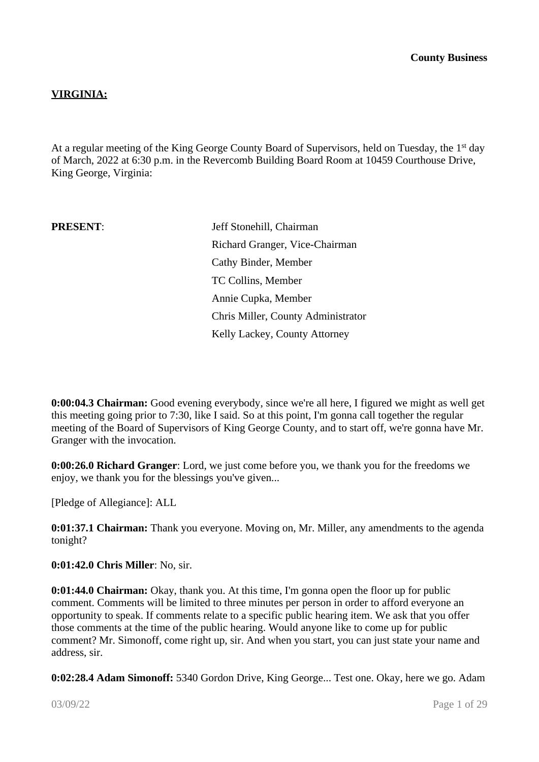# **VIRGINIA:**

At a regular meeting of the King George County Board of Supervisors, held on Tuesday, the 1<sup>st</sup> day of March, 2022 at 6:30 p.m. in the Revercomb Building Board Room at 10459 Courthouse Drive, King George, Virginia:

**PRESENT:** Jeff Stonehill, Chairman Richard Granger, Vice-Chairman Cathy Binder, Member TC Collins, Member Annie Cupka, Member Chris Miller, County Administrator Kelly Lackey, County Attorney

**0:00:04.3 Chairman:** Good evening everybody, since we're all here, I figured we might as well get this meeting going prior to 7:30, like I said. So at this point, I'm gonna call together the regular meeting of the Board of Supervisors of King George County, and to start off, we're gonna have Mr. Granger with the invocation.

**0:00:26.0 Richard Granger**: Lord, we just come before you, we thank you for the freedoms we enjoy, we thank you for the blessings you've given...

[Pledge of Allegiance]: ALL

**0:01:37.1 Chairman:** Thank you everyone. Moving on, Mr. Miller, any amendments to the agenda tonight?

**0:01:42.0 Chris Miller**: No, sir.

**0:01:44.0 Chairman:** Okay, thank you. At this time, I'm gonna open the floor up for public comment. Comments will be limited to three minutes per person in order to afford everyone an opportunity to speak. If comments relate to a specific public hearing item. We ask that you offer those comments at the time of the public hearing. Would anyone like to come up for public comment? Mr. Simonoff, come right up, sir. And when you start, you can just state your name and address, sir.

**0:02:28.4 Adam Simonoff:** 5340 Gordon Drive, King George... Test one. Okay, here we go. Adam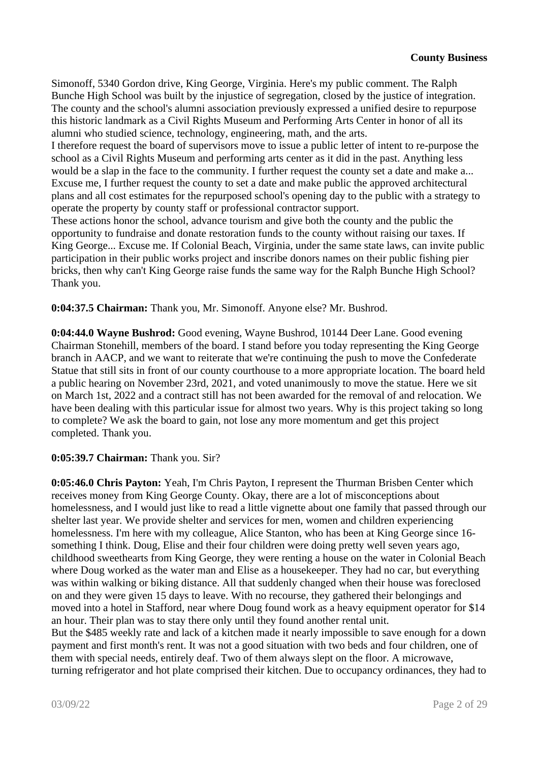Simonoff, 5340 Gordon drive, King George, Virginia. Here's my public comment. The Ralph Bunche High School was built by the injustice of segregation, closed by the justice of integration. The county and the school's alumni association previously expressed a unified desire to repurpose this historic landmark as a Civil Rights Museum and Performing Arts Center in honor of all its alumni who studied science, technology, engineering, math, and the arts.

I therefore request the board of supervisors move to issue a public letter of intent to re-purpose the school as a Civil Rights Museum and performing arts center as it did in the past. Anything less would be a slap in the face to the community. I further request the county set a date and make a... Excuse me, I further request the county to set a date and make public the approved architectural plans and all cost estimates for the repurposed school's opening day to the public with a strategy to operate the property by county staff or professional contractor support.

These actions honor the school, advance tourism and give both the county and the public the opportunity to fundraise and donate restoration funds to the county without raising our taxes. If King George... Excuse me. If Colonial Beach, Virginia, under the same state laws, can invite public participation in their public works project and inscribe donors names on their public fishing pier bricks, then why can't King George raise funds the same way for the Ralph Bunche High School? Thank you.

**0:04:37.5 Chairman:** Thank you, Mr. Simonoff. Anyone else? Mr. Bushrod.

**0:04:44.0 Wayne Bushrod:** Good evening, Wayne Bushrod, 10144 Deer Lane. Good evening Chairman Stonehill, members of the board. I stand before you today representing the King George branch in AACP, and we want to reiterate that we're continuing the push to move the Confederate Statue that still sits in front of our county courthouse to a more appropriate location. The board held a public hearing on November 23rd, 2021, and voted unanimously to move the statue. Here we sit on March 1st, 2022 and a contract still has not been awarded for the removal of and relocation. We have been dealing with this particular issue for almost two years. Why is this project taking so long to complete? We ask the board to gain, not lose any more momentum and get this project completed. Thank you.

#### **0:05:39.7 Chairman:** Thank you. Sir?

**0:05:46.0 Chris Payton:** Yeah, I'm Chris Payton, I represent the Thurman Brisben Center which receives money from King George County. Okay, there are a lot of misconceptions about homelessness, and I would just like to read a little vignette about one family that passed through our shelter last year. We provide shelter and services for men, women and children experiencing homelessness. I'm here with my colleague, Alice Stanton, who has been at King George since 16 something I think. Doug, Elise and their four children were doing pretty well seven years ago, childhood sweethearts from King George, they were renting a house on the water in Colonial Beach where Doug worked as the water man and Elise as a housekeeper. They had no car, but everything was within walking or biking distance. All that suddenly changed when their house was foreclosed on and they were given 15 days to leave. With no recourse, they gathered their belongings and moved into a hotel in Stafford, near where Doug found work as a heavy equipment operator for \$14 an hour. Their plan was to stay there only until they found another rental unit.

But the \$485 weekly rate and lack of a kitchen made it nearly impossible to save enough for a down payment and first month's rent. It was not a good situation with two beds and four children, one of them with special needs, entirely deaf. Two of them always slept on the floor. A microwave, turning refrigerator and hot plate comprised their kitchen. Due to occupancy ordinances, they had to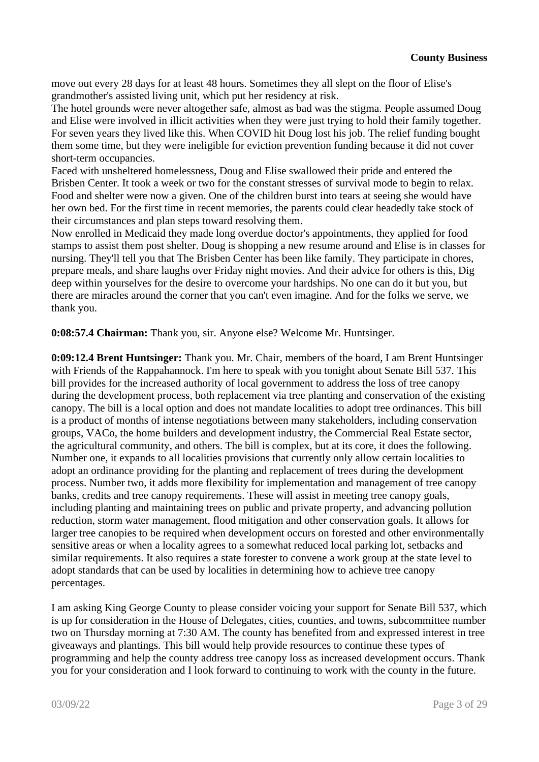move out every 28 days for at least 48 hours. Sometimes they all slept on the floor of Elise's grandmother's assisted living unit, which put her residency at risk.

The hotel grounds were never altogether safe, almost as bad was the stigma. People assumed Doug and Elise were involved in illicit activities when they were just trying to hold their family together. For seven years they lived like this. When COVID hit Doug lost his job. The relief funding bought them some time, but they were ineligible for eviction prevention funding because it did not cover short-term occupancies.

Faced with unsheltered homelessness, Doug and Elise swallowed their pride and entered the Brisben Center. It took a week or two for the constant stresses of survival mode to begin to relax. Food and shelter were now a given. One of the children burst into tears at seeing she would have her own bed. For the first time in recent memories, the parents could clear headedly take stock of their circumstances and plan steps toward resolving them.

Now enrolled in Medicaid they made long overdue doctor's appointments, they applied for food stamps to assist them post shelter. Doug is shopping a new resume around and Elise is in classes for nursing. They'll tell you that The Brisben Center has been like family. They participate in chores, prepare meals, and share laughs over Friday night movies. And their advice for others is this, Dig deep within yourselves for the desire to overcome your hardships. No one can do it but you, but there are miracles around the corner that you can't even imagine. And for the folks we serve, we thank you.

**0:08:57.4 Chairman:** Thank you, sir. Anyone else? Welcome Mr. Huntsinger.

**0:09:12.4 Brent Huntsinger:** Thank you. Mr. Chair, members of the board, I am Brent Huntsinger with Friends of the Rappahannock. I'm here to speak with you tonight about Senate Bill 537. This bill provides for the increased authority of local government to address the loss of tree canopy during the development process, both replacement via tree planting and conservation of the existing canopy. The bill is a local option and does not mandate localities to adopt tree ordinances. This bill is a product of months of intense negotiations between many stakeholders, including conservation groups, VACo, the home builders and development industry, the Commercial Real Estate sector, the agricultural community, and others. The bill is complex, but at its core, it does the following. Number one, it expands to all localities provisions that currently only allow certain localities to adopt an ordinance providing for the planting and replacement of trees during the development process. Number two, it adds more flexibility for implementation and management of tree canopy banks, credits and tree canopy requirements. These will assist in meeting tree canopy goals, including planting and maintaining trees on public and private property, and advancing pollution reduction, storm water management, flood mitigation and other conservation goals. It allows for larger tree canopies to be required when development occurs on forested and other environmentally sensitive areas or when a locality agrees to a somewhat reduced local parking lot, setbacks and similar requirements. It also requires a state forester to convene a work group at the state level to adopt standards that can be used by localities in determining how to achieve tree canopy percentages.

I am asking King George County to please consider voicing your support for Senate Bill 537, which is up for consideration in the House of Delegates, cities, counties, and towns, subcommittee number two on Thursday morning at 7:30 AM. The county has benefited from and expressed interest in tree giveaways and plantings. This bill would help provide resources to continue these types of programming and help the county address tree canopy loss as increased development occurs. Thank you for your consideration and I look forward to continuing to work with the county in the future.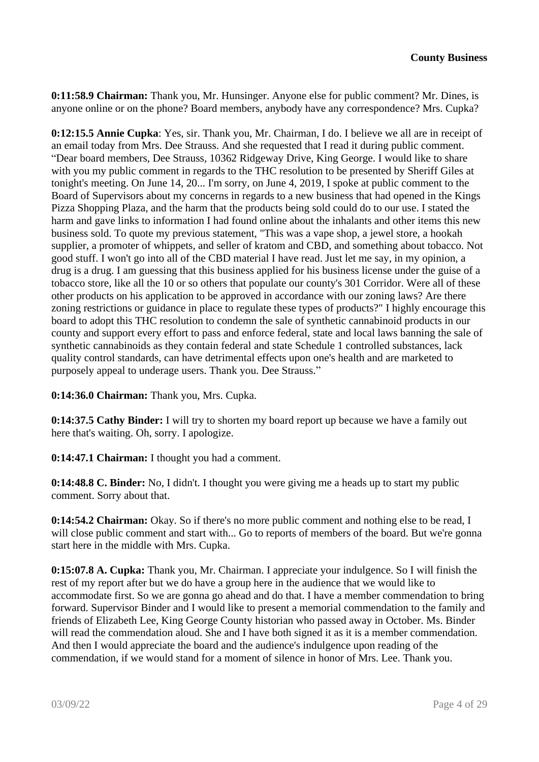**0:11:58.9 Chairman:** Thank you, Mr. Hunsinger. Anyone else for public comment? Mr. Dines, is anyone online or on the phone? Board members, anybody have any correspondence? Mrs. Cupka?

**0:12:15.5 Annie Cupka**: Yes, sir. Thank you, Mr. Chairman, I do. I believe we all are in receipt of an email today from Mrs. Dee Strauss. And she requested that I read it during public comment. "Dear board members, Dee Strauss, 10362 Ridgeway Drive, King George. I would like to share with you my public comment in regards to the THC resolution to be presented by Sheriff Giles at tonight's meeting. On June 14, 20... I'm sorry, on June 4, 2019, I spoke at public comment to the Board of Supervisors about my concerns in regards to a new business that had opened in the Kings Pizza Shopping Plaza, and the harm that the products being sold could do to our use. I stated the harm and gave links to information I had found online about the inhalants and other items this new business sold. To quote my previous statement, "This was a vape shop, a jewel store, a hookah supplier, a promoter of whippets, and seller of kratom and CBD, and something about tobacco. Not good stuff. I won't go into all of the CBD material I have read. Just let me say, in my opinion, a drug is a drug. I am guessing that this business applied for his business license under the guise of a tobacco store, like all the 10 or so others that populate our county's 301 Corridor. Were all of these other products on his application to be approved in accordance with our zoning laws? Are there zoning restrictions or guidance in place to regulate these types of products?" I highly encourage this board to adopt this THC resolution to condemn the sale of synthetic cannabinoid products in our county and support every effort to pass and enforce federal, state and local laws banning the sale of synthetic cannabinoids as they contain federal and state Schedule 1 controlled substances, lack quality control standards, can have detrimental effects upon one's health and are marketed to purposely appeal to underage users. Thank you. Dee Strauss."

**0:14:36.0 Chairman:** Thank you, Mrs. Cupka.

**0:14:37.5 Cathy Binder:** I will try to shorten my board report up because we have a family out here that's waiting. Oh, sorry. I apologize.

**0:14:47.1 Chairman:** I thought you had a comment.

**0:14:48.8 C. Binder:** No, I didn't. I thought you were giving me a heads up to start my public comment. Sorry about that.

**0:14:54.2 Chairman:** Okay. So if there's no more public comment and nothing else to be read, I will close public comment and start with... Go to reports of members of the board. But we're gonna start here in the middle with Mrs. Cupka.

**0:15:07.8 A. Cupka:** Thank you, Mr. Chairman. I appreciate your indulgence. So I will finish the rest of my report after but we do have a group here in the audience that we would like to accommodate first. So we are gonna go ahead and do that. I have a member commendation to bring forward. Supervisor Binder and I would like to present a memorial commendation to the family and friends of Elizabeth Lee, King George County historian who passed away in October. Ms. Binder will read the commendation aloud. She and I have both signed it as it is a member commendation. And then I would appreciate the board and the audience's indulgence upon reading of the commendation, if we would stand for a moment of silence in honor of Mrs. Lee. Thank you.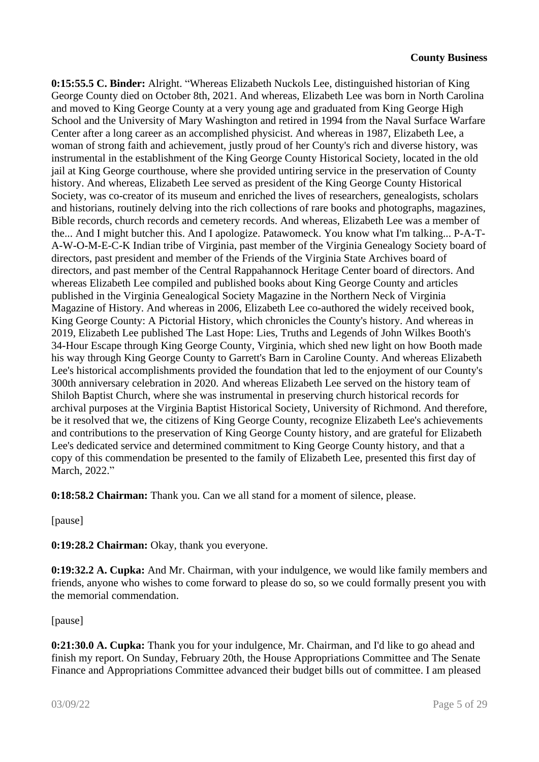#### **County Business**

**0:15:55.5 C. Binder:** Alright. "Whereas Elizabeth Nuckols Lee, distinguished historian of King George County died on October 8th, 2021. And whereas, Elizabeth Lee was born in North Carolina and moved to King George County at a very young age and graduated from King George High School and the University of Mary Washington and retired in 1994 from the Naval Surface Warfare Center after a long career as an accomplished physicist. And whereas in 1987, Elizabeth Lee, a woman of strong faith and achievement, justly proud of her County's rich and diverse history, was instrumental in the establishment of the King George County Historical Society, located in the old jail at King George courthouse, where she provided untiring service in the preservation of County history. And whereas, Elizabeth Lee served as president of the King George County Historical Society, was co-creator of its museum and enriched the lives of researchers, genealogists, scholars and historians, routinely delving into the rich collections of rare books and photographs, magazines, Bible records, church records and cemetery records. And whereas, Elizabeth Lee was a member of the... And I might butcher this. And I apologize. Patawomeck. You know what I'm talking... P-A-T-A-W-O-M-E-C-K Indian tribe of Virginia, past member of the Virginia Genealogy Society board of directors, past president and member of the Friends of the Virginia State Archives board of directors, and past member of the Central Rappahannock Heritage Center board of directors. And whereas Elizabeth Lee compiled and published books about King George County and articles published in the Virginia Genealogical Society Magazine in the Northern Neck of Virginia Magazine of History. And whereas in 2006, Elizabeth Lee co-authored the widely received book, King George County: A Pictorial History, which chronicles the County's history. And whereas in 2019, Elizabeth Lee published The Last Hope: Lies, Truths and Legends of John Wilkes Booth's 34-Hour Escape through King George County, Virginia, which shed new light on how Booth made his way through King George County to Garrett's Barn in Caroline County. And whereas Elizabeth Lee's historical accomplishments provided the foundation that led to the enjoyment of our County's 300th anniversary celebration in 2020. And whereas Elizabeth Lee served on the history team of Shiloh Baptist Church, where she was instrumental in preserving church historical records for archival purposes at the Virginia Baptist Historical Society, University of Richmond. And therefore, be it resolved that we, the citizens of King George County, recognize Elizabeth Lee's achievements and contributions to the preservation of King George County history, and are grateful for Elizabeth Lee's dedicated service and determined commitment to King George County history, and that a copy of this commendation be presented to the family of Elizabeth Lee, presented this first day of March, 2022."

**0:18:58.2 Chairman:** Thank you. Can we all stand for a moment of silence, please.

[pause]

**0:19:28.2 Chairman:** Okay, thank you everyone.

**0:19:32.2 A. Cupka:** And Mr. Chairman, with your indulgence, we would like family members and friends, anyone who wishes to come forward to please do so, so we could formally present you with the memorial commendation.

[pause]

**0:21:30.0 A. Cupka:** Thank you for your indulgence, Mr. Chairman, and I'd like to go ahead and finish my report. On Sunday, February 20th, the House Appropriations Committee and The Senate Finance and Appropriations Committee advanced their budget bills out of committee. I am pleased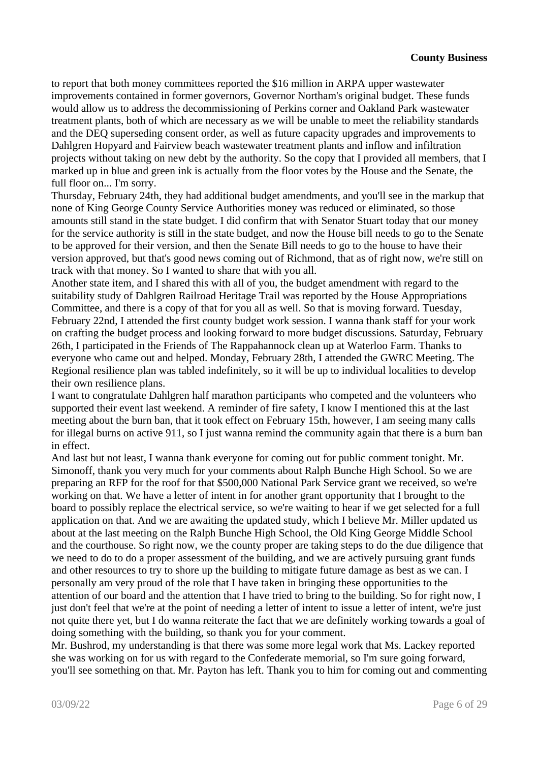to report that both money committees reported the \$16 million in ARPA upper wastewater improvements contained in former governors, Governor Northam's original budget. These funds would allow us to address the decommissioning of Perkins corner and Oakland Park wastewater treatment plants, both of which are necessary as we will be unable to meet the reliability standards and the DEQ superseding consent order, as well as future capacity upgrades and improvements to Dahlgren Hopyard and Fairview beach wastewater treatment plants and inflow and infiltration projects without taking on new debt by the authority. So the copy that I provided all members, that I marked up in blue and green ink is actually from the floor votes by the House and the Senate, the full floor on... I'm sorry.

Thursday, February 24th, they had additional budget amendments, and you'll see in the markup that none of King George County Service Authorities money was reduced or eliminated, so those amounts still stand in the state budget. I did confirm that with Senator Stuart today that our money for the service authority is still in the state budget, and now the House bill needs to go to the Senate to be approved for their version, and then the Senate Bill needs to go to the house to have their version approved, but that's good news coming out of Richmond, that as of right now, we're still on track with that money. So I wanted to share that with you all.

Another state item, and I shared this with all of you, the budget amendment with regard to the suitability study of Dahlgren Railroad Heritage Trail was reported by the House Appropriations Committee, and there is a copy of that for you all as well. So that is moving forward. Tuesday, February 22nd, I attended the first county budget work session. I wanna thank staff for your work on crafting the budget process and looking forward to more budget discussions. Saturday, February 26th, I participated in the Friends of The Rappahannock clean up at Waterloo Farm. Thanks to everyone who came out and helped. Monday, February 28th, I attended the GWRC Meeting. The Regional resilience plan was tabled indefinitely, so it will be up to individual localities to develop their own resilience plans.

I want to congratulate Dahlgren half marathon participants who competed and the volunteers who supported their event last weekend. A reminder of fire safety, I know I mentioned this at the last meeting about the burn ban, that it took effect on February 15th, however, I am seeing many calls for illegal burns on active 911, so I just wanna remind the community again that there is a burn ban in effect.

And last but not least, I wanna thank everyone for coming out for public comment tonight. Mr. Simonoff, thank you very much for your comments about Ralph Bunche High School. So we are preparing an RFP for the roof for that \$500,000 National Park Service grant we received, so we're working on that. We have a letter of intent in for another grant opportunity that I brought to the board to possibly replace the electrical service, so we're waiting to hear if we get selected for a full application on that. And we are awaiting the updated study, which I believe Mr. Miller updated us about at the last meeting on the Ralph Bunche High School, the Old King George Middle School and the courthouse. So right now, we the county proper are taking steps to do the due diligence that we need to do to do a proper assessment of the building, and we are actively pursuing grant funds and other resources to try to shore up the building to mitigate future damage as best as we can. I personally am very proud of the role that I have taken in bringing these opportunities to the attention of our board and the attention that I have tried to bring to the building. So for right now, I just don't feel that we're at the point of needing a letter of intent to issue a letter of intent, we're just not quite there yet, but I do wanna reiterate the fact that we are definitely working towards a goal of doing something with the building, so thank you for your comment.

Mr. Bushrod, my understanding is that there was some more legal work that Ms. Lackey reported she was working on for us with regard to the Confederate memorial, so I'm sure going forward, you'll see something on that. Mr. Payton has left. Thank you to him for coming out and commenting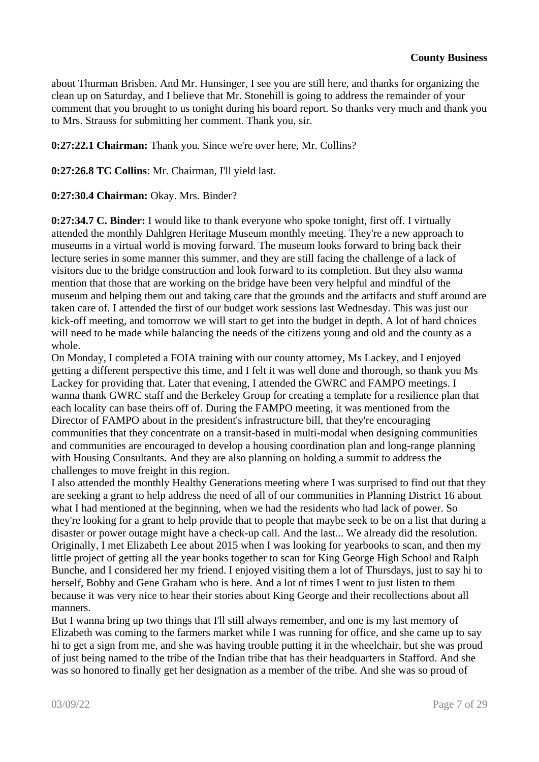about Thurman Brisben. And Mr. Hunsinger, I see you are still here, and thanks for organizing the clean up on Saturday, and I believe that Mr. Stonehill is going to address the remainder of your comment that you brought to us tonight during his board report. So thanks very much and thank you to Mrs. Strauss for submitting her comment. Thank you, sir.

**0:27:22.1 Chairman:** Thank you. Since we're over here, Mr. Collins?

**0:27:26.8 TC Collins**: Mr. Chairman, I'll yield last.

**0:27:30.4 Chairman:** Okay. Mrs. Binder?

**0:27:34.7 C. Binder:** I would like to thank everyone who spoke tonight, first off. I virtually attended the monthly Dahlgren Heritage Museum monthly meeting. They're a new approach to museums in a virtual world is moving forward. The museum looks forward to bring back their lecture series in some manner this summer, and they are still facing the challenge of a lack of visitors due to the bridge construction and look forward to its completion. But they also wanna mention that those that are working on the bridge have been very helpful and mindful of the museum and helping them out and taking care that the grounds and the artifacts and stuff around are taken care of. I attended the first of our budget work sessions last Wednesday. This was just our kick-off meeting, and tomorrow we will start to get into the budget in depth. A lot of hard choices will need to be made while balancing the needs of the citizens young and old and the county as a whole.

On Monday, I completed a FOIA training with our county attorney, Ms Lackey, and I enjoyed getting a different perspective this time, and I felt it was well done and thorough, so thank you Ms Lackey for providing that. Later that evening, I attended the GWRC and FAMPO meetings. I wanna thank GWRC staff and the Berkeley Group for creating a template for a resilience plan that each locality can base theirs off of. During the FAMPO meeting, it was mentioned from the Director of FAMPO about in the president's infrastructure bill, that they're encouraging communities that they concentrate on a transit-based in multi-modal when designing communities and communities are encouraged to develop a housing coordination plan and long-range planning with Housing Consultants. And they are also planning on holding a summit to address the challenges to move freight in this region.

I also attended the monthly Healthy Generations meeting where I was surprised to find out that they are seeking a grant to help address the need of all of our communities in Planning District 16 about what I had mentioned at the beginning, when we had the residents who had lack of power. So they're looking for a grant to help provide that to people that maybe seek to be on a list that during a disaster or power outage might have a check-up call. And the last... We already did the resolution. Originally, I met Elizabeth Lee about 2015 when I was looking for yearbooks to scan, and then my little project of getting all the year books together to scan for King George High School and Ralph Bunche, and I considered her my friend. I enjoyed visiting them a lot of Thursdays, just to say hi to herself, Bobby and Gene Graham who is here. And a lot of times I went to just listen to them because it was very nice to hear their stories about King George and their recollections about all manners.

But I wanna bring up two things that I'll still always remember, and one is my last memory of Elizabeth was coming to the farmers market while I was running for office, and she came up to say hi to get a sign from me, and she was having trouble putting it in the wheelchair, but she was proud of just being named to the tribe of the Indian tribe that has their headquarters in Stafford. And she was so honored to finally get her designation as a member of the tribe. And she was so proud of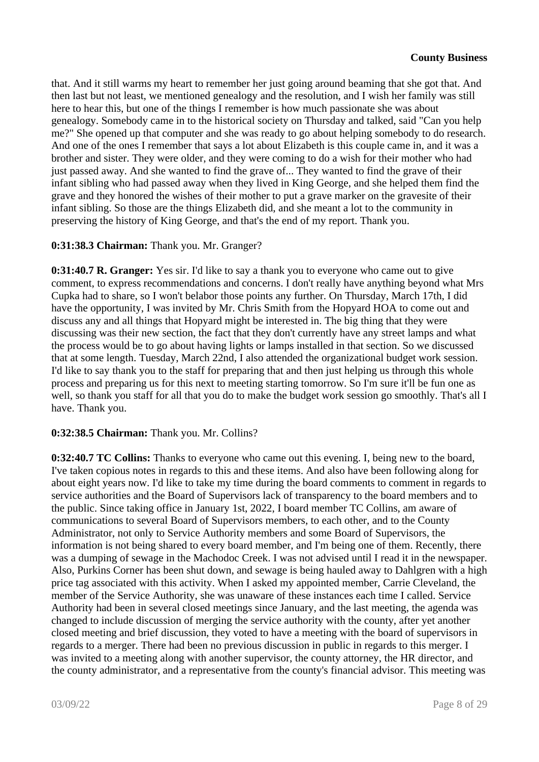that. And it still warms my heart to remember her just going around beaming that she got that. And then last but not least, we mentioned genealogy and the resolution, and I wish her family was still here to hear this, but one of the things I remember is how much passionate she was about genealogy. Somebody came in to the historical society on Thursday and talked, said "Can you help me?" She opened up that computer and she was ready to go about helping somebody to do research. And one of the ones I remember that says a lot about Elizabeth is this couple came in, and it was a brother and sister. They were older, and they were coming to do a wish for their mother who had just passed away. And she wanted to find the grave of... They wanted to find the grave of their infant sibling who had passed away when they lived in King George, and she helped them find the grave and they honored the wishes of their mother to put a grave marker on the gravesite of their infant sibling. So those are the things Elizabeth did, and she meant a lot to the community in preserving the history of King George, and that's the end of my report. Thank you.

## **0:31:38.3 Chairman:** Thank you. Mr. Granger?

**0:31:40.7 R. Granger:** Yes sir. I'd like to say a thank you to everyone who came out to give comment, to express recommendations and concerns. I don't really have anything beyond what Mrs Cupka had to share, so I won't belabor those points any further. On Thursday, March 17th, I did have the opportunity, I was invited by Mr. Chris Smith from the Hopyard HOA to come out and discuss any and all things that Hopyard might be interested in. The big thing that they were discussing was their new section, the fact that they don't currently have any street lamps and what the process would be to go about having lights or lamps installed in that section. So we discussed that at some length. Tuesday, March 22nd, I also attended the organizational budget work session. I'd like to say thank you to the staff for preparing that and then just helping us through this whole process and preparing us for this next to meeting starting tomorrow. So I'm sure it'll be fun one as well, so thank you staff for all that you do to make the budget work session go smoothly. That's all I have. Thank you.

## **0:32:38.5 Chairman:** Thank you. Mr. Collins?

**0:32:40.7 TC Collins:** Thanks to everyone who came out this evening. I, being new to the board, I've taken copious notes in regards to this and these items. And also have been following along for about eight years now. I'd like to take my time during the board comments to comment in regards to service authorities and the Board of Supervisors lack of transparency to the board members and to the public. Since taking office in January 1st, 2022, I board member TC Collins, am aware of communications to several Board of Supervisors members, to each other, and to the County Administrator, not only to Service Authority members and some Board of Supervisors, the information is not being shared to every board member, and I'm being one of them. Recently, there was a dumping of sewage in the Machodoc Creek. I was not advised until I read it in the newspaper. Also, Purkins Corner has been shut down, and sewage is being hauled away to Dahlgren with a high price tag associated with this activity. When I asked my appointed member, Carrie Cleveland, the member of the Service Authority, she was unaware of these instances each time I called. Service Authority had been in several closed meetings since January, and the last meeting, the agenda was changed to include discussion of merging the service authority with the county, after yet another closed meeting and brief discussion, they voted to have a meeting with the board of supervisors in regards to a merger. There had been no previous discussion in public in regards to this merger. I was invited to a meeting along with another supervisor, the county attorney, the HR director, and the county administrator, and a representative from the county's financial advisor. This meeting was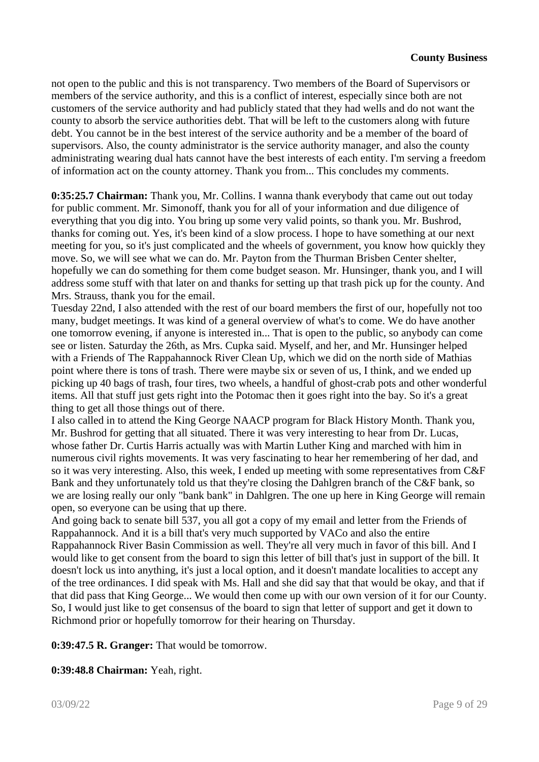not open to the public and this is not transparency. Two members of the Board of Supervisors or members of the service authority, and this is a conflict of interest, especially since both are not customers of the service authority and had publicly stated that they had wells and do not want the county to absorb the service authorities debt. That will be left to the customers along with future debt. You cannot be in the best interest of the service authority and be a member of the board of supervisors. Also, the county administrator is the service authority manager, and also the county administrating wearing dual hats cannot have the best interests of each entity. I'm serving a freedom of information act on the county attorney. Thank you from... This concludes my comments.

**0:35:25.7 Chairman:** Thank you, Mr. Collins. I wanna thank everybody that came out out today for public comment. Mr. Simonoff, thank you for all of your information and due diligence of everything that you dig into. You bring up some very valid points, so thank you. Mr. Bushrod, thanks for coming out. Yes, it's been kind of a slow process. I hope to have something at our next meeting for you, so it's just complicated and the wheels of government, you know how quickly they move. So, we will see what we can do. Mr. Payton from the Thurman Brisben Center shelter, hopefully we can do something for them come budget season. Mr. Hunsinger, thank you, and I will address some stuff with that later on and thanks for setting up that trash pick up for the county. And Mrs. Strauss, thank you for the email.

Tuesday 22nd, I also attended with the rest of our board members the first of our, hopefully not too many, budget meetings. It was kind of a general overview of what's to come. We do have another one tomorrow evening, if anyone is interested in... That is open to the public, so anybody can come see or listen. Saturday the 26th, as Mrs. Cupka said. Myself, and her, and Mr. Hunsinger helped with a Friends of The Rappahannock River Clean Up, which we did on the north side of Mathias point where there is tons of trash. There were maybe six or seven of us, I think, and we ended up picking up 40 bags of trash, four tires, two wheels, a handful of ghost-crab pots and other wonderful items. All that stuff just gets right into the Potomac then it goes right into the bay. So it's a great thing to get all those things out of there.

I also called in to attend the King George NAACP program for Black History Month. Thank you, Mr. Bushrod for getting that all situated. There it was very interesting to hear from Dr. Lucas, whose father Dr. Curtis Harris actually was with Martin Luther King and marched with him in numerous civil rights movements. It was very fascinating to hear her remembering of her dad, and so it was very interesting. Also, this week, I ended up meeting with some representatives from C&F Bank and they unfortunately told us that they're closing the Dahlgren branch of the C&F bank, so we are losing really our only "bank bank" in Dahlgren. The one up here in King George will remain open, so everyone can be using that up there.

And going back to senate bill 537, you all got a copy of my email and letter from the Friends of Rappahannock. And it is a bill that's very much supported by VACo and also the entire Rappahannock River Basin Commission as well. They're all very much in favor of this bill. And I would like to get consent from the board to sign this letter of bill that's just in support of the bill. It doesn't lock us into anything, it's just a local option, and it doesn't mandate localities to accept any of the tree ordinances. I did speak with Ms. Hall and she did say that that would be okay, and that if that did pass that King George... We would then come up with our own version of it for our County. So, I would just like to get consensus of the board to sign that letter of support and get it down to Richmond prior or hopefully tomorrow for their hearing on Thursday.

**0:39:47.5 R. Granger:** That would be tomorrow.

**0:39:48.8 Chairman:** Yeah, right.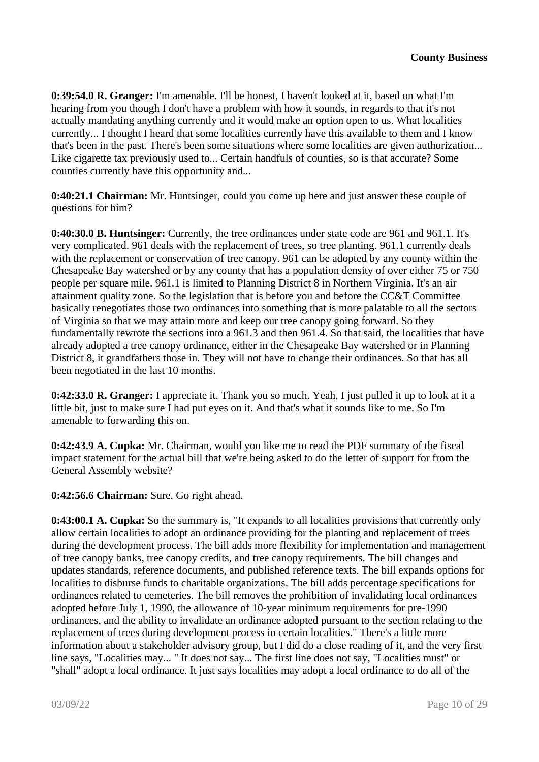**0:39:54.0 R. Granger:** I'm amenable. I'll be honest, I haven't looked at it, based on what I'm hearing from you though I don't have a problem with how it sounds, in regards to that it's not actually mandating anything currently and it would make an option open to us. What localities currently... I thought I heard that some localities currently have this available to them and I know that's been in the past. There's been some situations where some localities are given authorization... Like cigarette tax previously used to... Certain handfuls of counties, so is that accurate? Some counties currently have this opportunity and...

**0:40:21.1 Chairman:** Mr. Huntsinger, could you come up here and just answer these couple of questions for him?

**0:40:30.0 B. Huntsinger:** Currently, the tree ordinances under state code are 961 and 961.1. It's very complicated. 961 deals with the replacement of trees, so tree planting. 961.1 currently deals with the replacement or conservation of tree canopy. 961 can be adopted by any county within the Chesapeake Bay watershed or by any county that has a population density of over either 75 or 750 people per square mile. 961.1 is limited to Planning District 8 in Northern Virginia. It's an air attainment quality zone. So the legislation that is before you and before the CC&T Committee basically renegotiates those two ordinances into something that is more palatable to all the sectors of Virginia so that we may attain more and keep our tree canopy going forward. So they fundamentally rewrote the sections into a 961.3 and then 961.4. So that said, the localities that have already adopted a tree canopy ordinance, either in the Chesapeake Bay watershed or in Planning District 8, it grandfathers those in. They will not have to change their ordinances. So that has all been negotiated in the last 10 months.

**0:42:33.0 R. Granger:** I appreciate it. Thank you so much. Yeah, I just pulled it up to look at it a little bit, just to make sure I had put eyes on it. And that's what it sounds like to me. So I'm amenable to forwarding this on.

**0:42:43.9 A. Cupka:** Mr. Chairman, would you like me to read the PDF summary of the fiscal impact statement for the actual bill that we're being asked to do the letter of support for from the General Assembly website?

**0:42:56.6 Chairman:** Sure. Go right ahead.

**0:43:00.1 A. Cupka:** So the summary is, "It expands to all localities provisions that currently only allow certain localities to adopt an ordinance providing for the planting and replacement of trees during the development process. The bill adds more flexibility for implementation and management of tree canopy banks, tree canopy credits, and tree canopy requirements. The bill changes and updates standards, reference documents, and published reference texts. The bill expands options for localities to disburse funds to charitable organizations. The bill adds percentage specifications for ordinances related to cemeteries. The bill removes the prohibition of invalidating local ordinances adopted before July 1, 1990, the allowance of 10-year minimum requirements for pre-1990 ordinances, and the ability to invalidate an ordinance adopted pursuant to the section relating to the replacement of trees during development process in certain localities." There's a little more information about a stakeholder advisory group, but I did do a close reading of it, and the very first line says, "Localities may... " It does not say... The first line does not say, "Localities must" or "shall" adopt a local ordinance. It just says localities may adopt a local ordinance to do all of the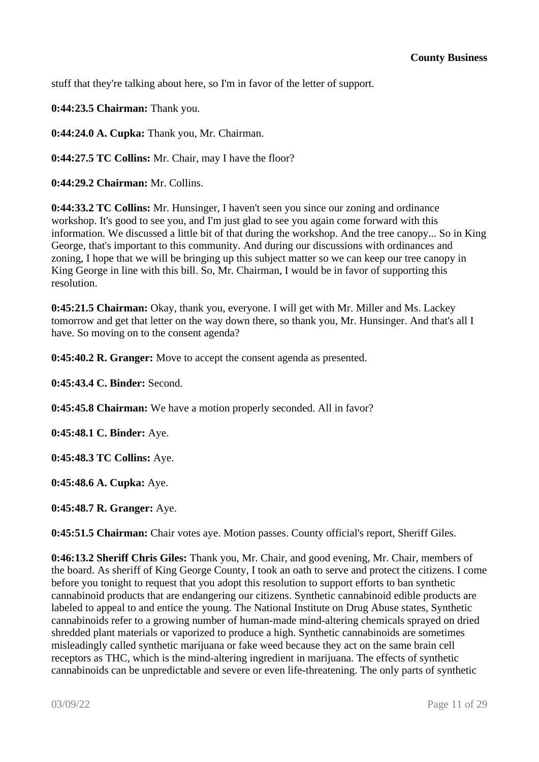stuff that they're talking about here, so I'm in favor of the letter of support.

**0:44:23.5 Chairman:** Thank you.

**0:44:24.0 A. Cupka:** Thank you, Mr. Chairman.

**0:44:27.5 TC Collins:** Mr. Chair, may I have the floor?

**0:44:29.2 Chairman:** Mr. Collins.

**0:44:33.2 TC Collins:** Mr. Hunsinger, I haven't seen you since our zoning and ordinance workshop. It's good to see you, and I'm just glad to see you again come forward with this information. We discussed a little bit of that during the workshop. And the tree canopy... So in King George, that's important to this community. And during our discussions with ordinances and zoning, I hope that we will be bringing up this subject matter so we can keep our tree canopy in King George in line with this bill. So, Mr. Chairman, I would be in favor of supporting this resolution.

**0:45:21.5 Chairman:** Okay, thank you, everyone. I will get with Mr. Miller and Ms. Lackey tomorrow and get that letter on the way down there, so thank you, Mr. Hunsinger. And that's all I have. So moving on to the consent agenda?

**0:45:40.2 R. Granger:** Move to accept the consent agenda as presented.

**0:45:43.4 C. Binder:** Second.

**0:45:45.8 Chairman:** We have a motion properly seconded. All in favor?

**0:45:48.1 C. Binder:** Aye.

**0:45:48.3 TC Collins:** Aye.

**0:45:48.6 A. Cupka:** Aye.

**0:45:48.7 R. Granger:** Aye.

**0:45:51.5 Chairman:** Chair votes aye. Motion passes. County official's report, Sheriff Giles.

**0:46:13.2 Sheriff Chris Giles:** Thank you, Mr. Chair, and good evening, Mr. Chair, members of the board. As sheriff of King George County, I took an oath to serve and protect the citizens. I come before you tonight to request that you adopt this resolution to support efforts to ban synthetic cannabinoid products that are endangering our citizens. Synthetic cannabinoid edible products are labeled to appeal to and entice the young. The National Institute on Drug Abuse states, Synthetic cannabinoids refer to a growing number of human-made mind-altering chemicals sprayed on dried shredded plant materials or vaporized to produce a high. Synthetic cannabinoids are sometimes misleadingly called synthetic marijuana or fake weed because they act on the same brain cell receptors as THC, which is the mind-altering ingredient in marijuana. The effects of synthetic cannabinoids can be unpredictable and severe or even life-threatening. The only parts of synthetic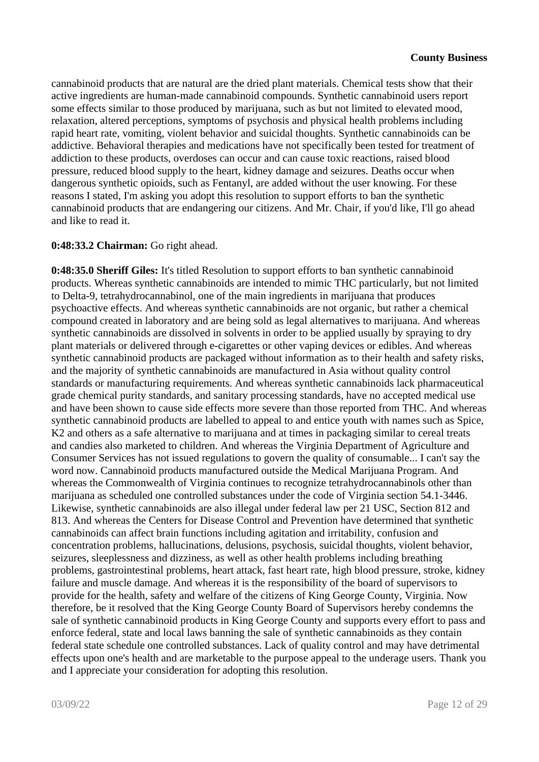cannabinoid products that are natural are the dried plant materials. Chemical tests show that their active ingredients are human-made cannabinoid compounds. Synthetic cannabinoid users report some effects similar to those produced by marijuana, such as but not limited to elevated mood, relaxation, altered perceptions, symptoms of psychosis and physical health problems including rapid heart rate, vomiting, violent behavior and suicidal thoughts. Synthetic cannabinoids can be addictive. Behavioral therapies and medications have not specifically been tested for treatment of addiction to these products, overdoses can occur and can cause toxic reactions, raised blood pressure, reduced blood supply to the heart, kidney damage and seizures. Deaths occur when dangerous synthetic opioids, such as Fentanyl, are added without the user knowing. For these reasons I stated, I'm asking you adopt this resolution to support efforts to ban the synthetic cannabinoid products that are endangering our citizens. And Mr. Chair, if you'd like, I'll go ahead and like to read it.

### **0:48:33.2 Chairman:** Go right ahead.

**0:48:35.0 Sheriff Giles:** It's titled Resolution to support efforts to ban synthetic cannabinoid products. Whereas synthetic cannabinoids are intended to mimic THC particularly, but not limited to Delta-9, tetrahydrocannabinol, one of the main ingredients in marijuana that produces psychoactive effects. And whereas synthetic cannabinoids are not organic, but rather a chemical compound created in laboratory and are being sold as legal alternatives to marijuana. And whereas synthetic cannabinoids are dissolved in solvents in order to be applied usually by spraying to dry plant materials or delivered through e-cigarettes or other vaping devices or edibles. And whereas synthetic cannabinoid products are packaged without information as to their health and safety risks, and the majority of synthetic cannabinoids are manufactured in Asia without quality control standards or manufacturing requirements. And whereas synthetic cannabinoids lack pharmaceutical grade chemical purity standards, and sanitary processing standards, have no accepted medical use and have been shown to cause side effects more severe than those reported from THC. And whereas synthetic cannabinoid products are labelled to appeal to and entice youth with names such as Spice, K2 and others as a safe alternative to marijuana and at times in packaging similar to cereal treats and candies also marketed to children. And whereas the Virginia Department of Agriculture and Consumer Services has not issued regulations to govern the quality of consumable... I can't say the word now. Cannabinoid products manufactured outside the Medical Marijuana Program. And whereas the Commonwealth of Virginia continues to recognize tetrahydrocannabinols other than marijuana as scheduled one controlled substances under the code of Virginia section 54.1-3446. Likewise, synthetic cannabinoids are also illegal under federal law per 21 USC, Section 812 and 813. And whereas the Centers for Disease Control and Prevention have determined that synthetic cannabinoids can affect brain functions including agitation and irritability, confusion and concentration problems, hallucinations, delusions, psychosis, suicidal thoughts, violent behavior, seizures, sleeplessness and dizziness, as well as other health problems including breathing problems, gastrointestinal problems, heart attack, fast heart rate, high blood pressure, stroke, kidney failure and muscle damage. And whereas it is the responsibility of the board of supervisors to provide for the health, safety and welfare of the citizens of King George County, Virginia. Now therefore, be it resolved that the King George County Board of Supervisors hereby condemns the sale of synthetic cannabinoid products in King George County and supports every effort to pass and enforce federal, state and local laws banning the sale of synthetic cannabinoids as they contain federal state schedule one controlled substances. Lack of quality control and may have detrimental effects upon one's health and are marketable to the purpose appeal to the underage users. Thank you and I appreciate your consideration for adopting this resolution.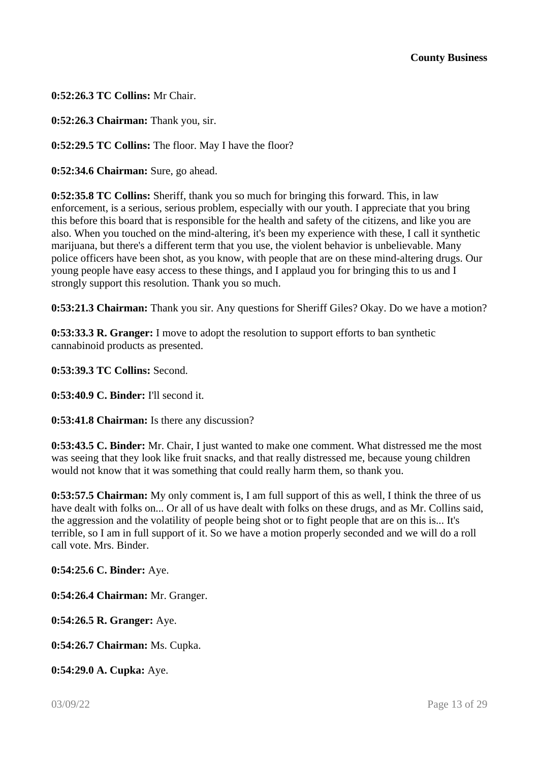**0:52:26.3 TC Collins:** Mr Chair.

**0:52:26.3 Chairman:** Thank you, sir.

**0:52:29.5 TC Collins:** The floor. May I have the floor?

**0:52:34.6 Chairman:** Sure, go ahead.

**0:52:35.8 TC Collins:** Sheriff, thank you so much for bringing this forward. This, in law enforcement, is a serious, serious problem, especially with our youth. I appreciate that you bring this before this board that is responsible for the health and safety of the citizens, and like you are also. When you touched on the mind-altering, it's been my experience with these, I call it synthetic marijuana, but there's a different term that you use, the violent behavior is unbelievable. Many police officers have been shot, as you know, with people that are on these mind-altering drugs. Our young people have easy access to these things, and I applaud you for bringing this to us and I strongly support this resolution. Thank you so much.

**0:53:21.3 Chairman:** Thank you sir. Any questions for Sheriff Giles? Okay. Do we have a motion?

**0:53:33.3 R. Granger:** I move to adopt the resolution to support efforts to ban synthetic cannabinoid products as presented.

**0:53:39.3 TC Collins:** Second.

**0:53:40.9 C. Binder:** I'll second it.

**0:53:41.8 Chairman:** Is there any discussion?

**0:53:43.5 C. Binder:** Mr. Chair, I just wanted to make one comment. What distressed me the most was seeing that they look like fruit snacks, and that really distressed me, because young children would not know that it was something that could really harm them, so thank you.

**0:53:57.5 Chairman:** My only comment is, I am full support of this as well, I think the three of us have dealt with folks on... Or all of us have dealt with folks on these drugs, and as Mr. Collins said, the aggression and the volatility of people being shot or to fight people that are on this is... It's terrible, so I am in full support of it. So we have a motion properly seconded and we will do a roll call vote. Mrs. Binder.

**0:54:25.6 C. Binder:** Aye.

**0:54:26.4 Chairman:** Mr. Granger.

**0:54:26.5 R. Granger:** Aye.

**0:54:26.7 Chairman:** Ms. Cupka.

**0:54:29.0 A. Cupka:** Aye.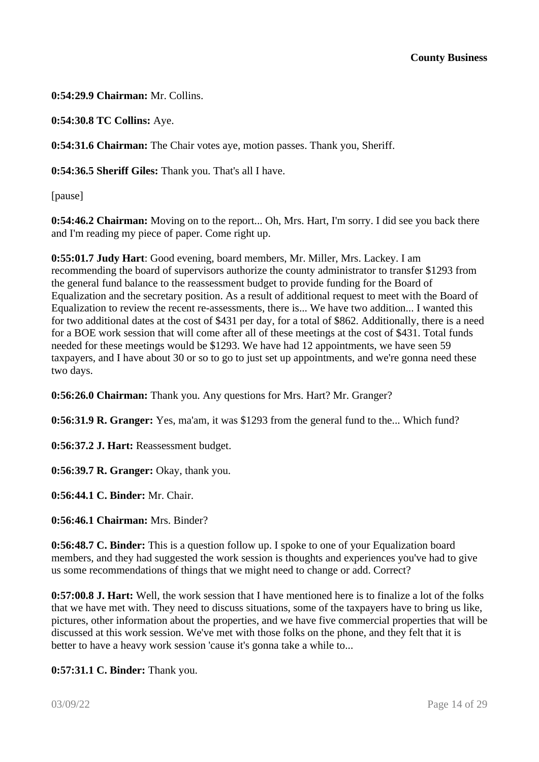**0:54:29.9 Chairman:** Mr. Collins.

**0:54:30.8 TC Collins:** Aye.

**0:54:31.6 Chairman:** The Chair votes aye, motion passes. Thank you, Sheriff.

**0:54:36.5 Sheriff Giles:** Thank you. That's all I have.

[pause]

**0:54:46.2 Chairman:** Moving on to the report... Oh, Mrs. Hart, I'm sorry. I did see you back there and I'm reading my piece of paper. Come right up.

**0:55:01.7 Judy Hart**: Good evening, board members, Mr. Miller, Mrs. Lackey. I am recommending the board of supervisors authorize the county administrator to transfer \$1293 from the general fund balance to the reassessment budget to provide funding for the Board of Equalization and the secretary position. As a result of additional request to meet with the Board of Equalization to review the recent re-assessments, there is... We have two addition... I wanted this for two additional dates at the cost of \$431 per day, for a total of \$862. Additionally, there is a need for a BOE work session that will come after all of these meetings at the cost of \$431. Total funds needed for these meetings would be \$1293. We have had 12 appointments, we have seen 59 taxpayers, and I have about 30 or so to go to just set up appointments, and we're gonna need these two days.

**0:56:26.0 Chairman:** Thank you. Any questions for Mrs. Hart? Mr. Granger?

**0:56:31.9 R. Granger:** Yes, ma'am, it was \$1293 from the general fund to the... Which fund?

**0:56:37.2 J. Hart:** Reassessment budget.

**0:56:39.7 R. Granger:** Okay, thank you.

**0:56:44.1 C. Binder:** Mr. Chair.

**0:56:46.1 Chairman:** Mrs. Binder?

**0:56:48.7 C. Binder:** This is a question follow up. I spoke to one of your Equalization board members, and they had suggested the work session is thoughts and experiences you've had to give us some recommendations of things that we might need to change or add. Correct?

**0:57:00.8 J. Hart:** Well, the work session that I have mentioned here is to finalize a lot of the folks that we have met with. They need to discuss situations, some of the taxpayers have to bring us like, pictures, other information about the properties, and we have five commercial properties that will be discussed at this work session. We've met with those folks on the phone, and they felt that it is better to have a heavy work session 'cause it's gonna take a while to...

**0:57:31.1 C. Binder:** Thank you.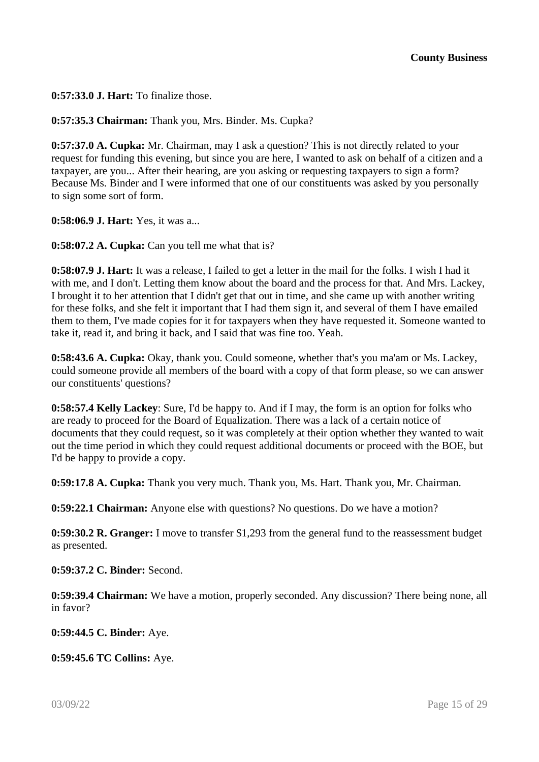**0:57:33.0 J. Hart:** To finalize those.

**0:57:35.3 Chairman:** Thank you, Mrs. Binder. Ms. Cupka?

**0:57:37.0 A. Cupka:** Mr. Chairman, may I ask a question? This is not directly related to your request for funding this evening, but since you are here, I wanted to ask on behalf of a citizen and a taxpayer, are you... After their hearing, are you asking or requesting taxpayers to sign a form? Because Ms. Binder and I were informed that one of our constituents was asked by you personally to sign some sort of form.

**0:58:06.9 J. Hart:** Yes, it was a...

**0:58:07.2 A. Cupka:** Can you tell me what that is?

**0:58:07.9 J. Hart:** It was a release, I failed to get a letter in the mail for the folks. I wish I had it with me, and I don't. Letting them know about the board and the process for that. And Mrs. Lackey, I brought it to her attention that I didn't get that out in time, and she came up with another writing for these folks, and she felt it important that I had them sign it, and several of them I have emailed them to them, I've made copies for it for taxpayers when they have requested it. Someone wanted to take it, read it, and bring it back, and I said that was fine too. Yeah.

**0:58:43.6 A. Cupka:** Okay, thank you. Could someone, whether that's you ma'am or Ms. Lackey, could someone provide all members of the board with a copy of that form please, so we can answer our constituents' questions?

**0:58:57.4 Kelly Lackey**: Sure, I'd be happy to. And if I may, the form is an option for folks who are ready to proceed for the Board of Equalization. There was a lack of a certain notice of documents that they could request, so it was completely at their option whether they wanted to wait out the time period in which they could request additional documents or proceed with the BOE, but I'd be happy to provide a copy.

**0:59:17.8 A. Cupka:** Thank you very much. Thank you, Ms. Hart. Thank you, Mr. Chairman.

**0:59:22.1 Chairman:** Anyone else with questions? No questions. Do we have a motion?

**0:59:30.2 R. Granger:** I move to transfer \$1,293 from the general fund to the reassessment budget as presented.

**0:59:37.2 C. Binder:** Second.

**0:59:39.4 Chairman:** We have a motion, properly seconded. Any discussion? There being none, all in favor?

**0:59:44.5 C. Binder:** Aye.

**0:59:45.6 TC Collins:** Aye.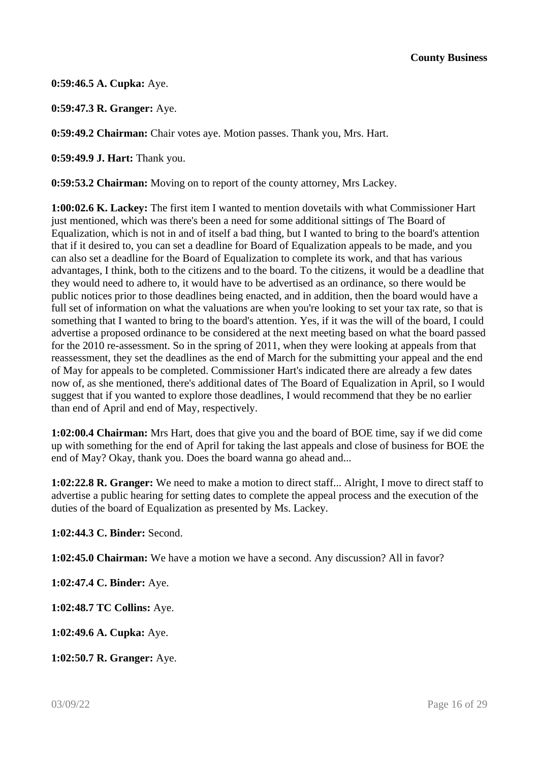**0:59:46.5 A. Cupka:** Aye.

**0:59:47.3 R. Granger:** Aye.

**0:59:49.2 Chairman:** Chair votes aye. Motion passes. Thank you, Mrs. Hart.

**0:59:49.9 J. Hart:** Thank you.

**0:59:53.2 Chairman:** Moving on to report of the county attorney, Mrs Lackey.

**1:00:02.6 K. Lackey:** The first item I wanted to mention dovetails with what Commissioner Hart just mentioned, which was there's been a need for some additional sittings of The Board of Equalization, which is not in and of itself a bad thing, but I wanted to bring to the board's attention that if it desired to, you can set a deadline for Board of Equalization appeals to be made, and you can also set a deadline for the Board of Equalization to complete its work, and that has various advantages, I think, both to the citizens and to the board. To the citizens, it would be a deadline that they would need to adhere to, it would have to be advertised as an ordinance, so there would be public notices prior to those deadlines being enacted, and in addition, then the board would have a full set of information on what the valuations are when you're looking to set your tax rate, so that is something that I wanted to bring to the board's attention. Yes, if it was the will of the board, I could advertise a proposed ordinance to be considered at the next meeting based on what the board passed for the 2010 re-assessment. So in the spring of 2011, when they were looking at appeals from that reassessment, they set the deadlines as the end of March for the submitting your appeal and the end of May for appeals to be completed. Commissioner Hart's indicated there are already a few dates now of, as she mentioned, there's additional dates of The Board of Equalization in April, so I would suggest that if you wanted to explore those deadlines, I would recommend that they be no earlier than end of April and end of May, respectively.

**1:02:00.4 Chairman:** Mrs Hart, does that give you and the board of BOE time, say if we did come up with something for the end of April for taking the last appeals and close of business for BOE the end of May? Okay, thank you. Does the board wanna go ahead and...

**1:02:22.8 R. Granger:** We need to make a motion to direct staff... Alright, I move to direct staff to advertise a public hearing for setting dates to complete the appeal process and the execution of the duties of the board of Equalization as presented by Ms. Lackey.

**1:02:44.3 C. Binder:** Second.

**1:02:45.0 Chairman:** We have a motion we have a second. Any discussion? All in favor?

**1:02:47.4 C. Binder:** Aye.

**1:02:48.7 TC Collins:** Aye.

**1:02:49.6 A. Cupka:** Aye.

**1:02:50.7 R. Granger:** Aye.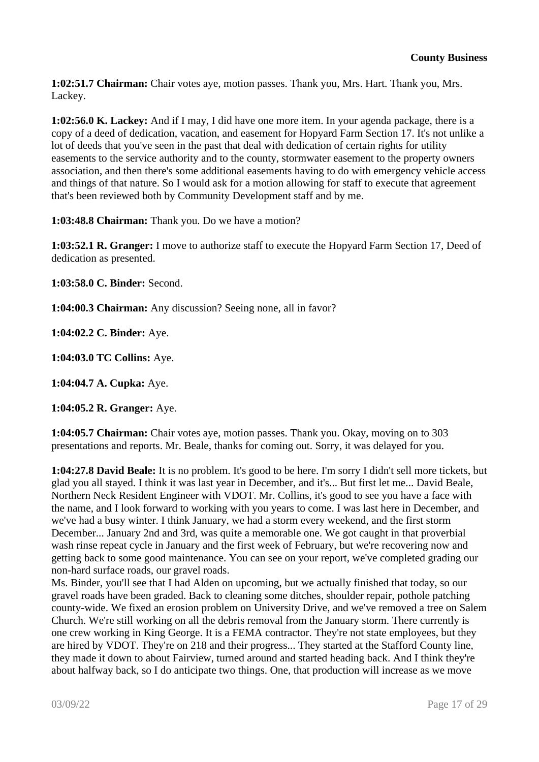**1:02:51.7 Chairman:** Chair votes aye, motion passes. Thank you, Mrs. Hart. Thank you, Mrs. Lackey.

**1:02:56.0 K. Lackey:** And if I may, I did have one more item. In your agenda package, there is a copy of a deed of dedication, vacation, and easement for Hopyard Farm Section 17. It's not unlike a lot of deeds that you've seen in the past that deal with dedication of certain rights for utility easements to the service authority and to the county, stormwater easement to the property owners association, and then there's some additional easements having to do with emergency vehicle access and things of that nature. So I would ask for a motion allowing for staff to execute that agreement that's been reviewed both by Community Development staff and by me.

**1:03:48.8 Chairman:** Thank you. Do we have a motion?

**1:03:52.1 R. Granger:** I move to authorize staff to execute the Hopyard Farm Section 17, Deed of dedication as presented.

**1:03:58.0 C. Binder:** Second.

**1:04:00.3 Chairman:** Any discussion? Seeing none, all in favor?

**1:04:02.2 C. Binder:** Aye.

**1:04:03.0 TC Collins:** Aye.

**1:04:04.7 A. Cupka:** Aye.

**1:04:05.2 R. Granger:** Aye.

**1:04:05.7 Chairman:** Chair votes aye, motion passes. Thank you. Okay, moving on to 303 presentations and reports. Mr. Beale, thanks for coming out. Sorry, it was delayed for you.

**1:04:27.8 David Beale:** It is no problem. It's good to be here. I'm sorry I didn't sell more tickets, but glad you all stayed. I think it was last year in December, and it's... But first let me... David Beale, Northern Neck Resident Engineer with VDOT. Mr. Collins, it's good to see you have a face with the name, and I look forward to working with you years to come. I was last here in December, and we've had a busy winter. I think January, we had a storm every weekend, and the first storm December... January 2nd and 3rd, was quite a memorable one. We got caught in that proverbial wash rinse repeat cycle in January and the first week of February, but we're recovering now and getting back to some good maintenance. You can see on your report, we've completed grading our non-hard surface roads, our gravel roads.

Ms. Binder, you'll see that I had Alden on upcoming, but we actually finished that today, so our gravel roads have been graded. Back to cleaning some ditches, shoulder repair, pothole patching county-wide. We fixed an erosion problem on University Drive, and we've removed a tree on Salem Church. We're still working on all the debris removal from the January storm. There currently is one crew working in King George. It is a FEMA contractor. They're not state employees, but they are hired by VDOT. They're on 218 and their progress... They started at the Stafford County line, they made it down to about Fairview, turned around and started heading back. And I think they're about halfway back, so I do anticipate two things. One, that production will increase as we move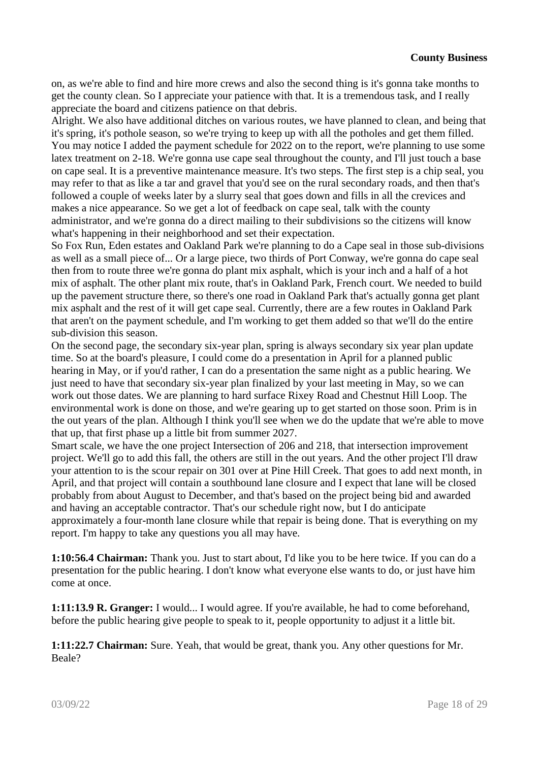on, as we're able to find and hire more crews and also the second thing is it's gonna take months to get the county clean. So I appreciate your patience with that. It is a tremendous task, and I really appreciate the board and citizens patience on that debris.

Alright. We also have additional ditches on various routes, we have planned to clean, and being that it's spring, it's pothole season, so we're trying to keep up with all the potholes and get them filled. You may notice I added the payment schedule for 2022 on to the report, we're planning to use some latex treatment on 2-18. We're gonna use cape seal throughout the county, and I'll just touch a base on cape seal. It is a preventive maintenance measure. It's two steps. The first step is a chip seal, you may refer to that as like a tar and gravel that you'd see on the rural secondary roads, and then that's followed a couple of weeks later by a slurry seal that goes down and fills in all the crevices and makes a nice appearance. So we get a lot of feedback on cape seal, talk with the county administrator, and we're gonna do a direct mailing to their subdivisions so the citizens will know what's happening in their neighborhood and set their expectation.

So Fox Run, Eden estates and Oakland Park we're planning to do a Cape seal in those sub-divisions as well as a small piece of... Or a large piece, two thirds of Port Conway, we're gonna do cape seal then from to route three we're gonna do plant mix asphalt, which is your inch and a half of a hot mix of asphalt. The other plant mix route, that's in Oakland Park, French court. We needed to build up the pavement structure there, so there's one road in Oakland Park that's actually gonna get plant mix asphalt and the rest of it will get cape seal. Currently, there are a few routes in Oakland Park that aren't on the payment schedule, and I'm working to get them added so that we'll do the entire sub-division this season.

On the second page, the secondary six-year plan, spring is always secondary six year plan update time. So at the board's pleasure, I could come do a presentation in April for a planned public hearing in May, or if you'd rather, I can do a presentation the same night as a public hearing. We just need to have that secondary six-year plan finalized by your last meeting in May, so we can work out those dates. We are planning to hard surface Rixey Road and Chestnut Hill Loop. The environmental work is done on those, and we're gearing up to get started on those soon. Prim is in the out years of the plan. Although I think you'll see when we do the update that we're able to move that up, that first phase up a little bit from summer 2027.

Smart scale, we have the one project Intersection of 206 and 218, that intersection improvement project. We'll go to add this fall, the others are still in the out years. And the other project I'll draw your attention to is the scour repair on 301 over at Pine Hill Creek. That goes to add next month, in April, and that project will contain a southbound lane closure and I expect that lane will be closed probably from about August to December, and that's based on the project being bid and awarded and having an acceptable contractor. That's our schedule right now, but I do anticipate approximately a four-month lane closure while that repair is being done. That is everything on my report. I'm happy to take any questions you all may have.

**1:10:56.4 Chairman:** Thank you. Just to start about, I'd like you to be here twice. If you can do a presentation for the public hearing. I don't know what everyone else wants to do, or just have him come at once.

**1:11:13.9 R. Granger:** I would... I would agree. If you're available, he had to come beforehand, before the public hearing give people to speak to it, people opportunity to adjust it a little bit.

**1:11:22.7 Chairman:** Sure. Yeah, that would be great, thank you. Any other questions for Mr. Beale?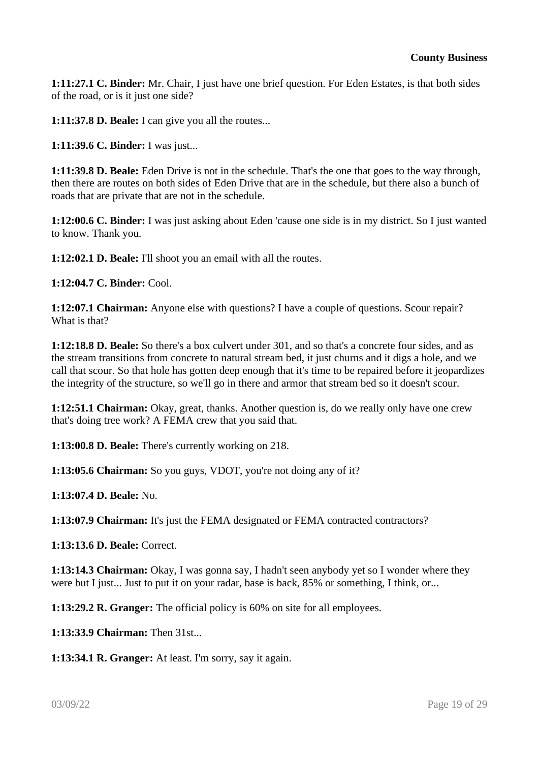**1:11:27.1 C. Binder:** Mr. Chair, I just have one brief question. For Eden Estates, is that both sides of the road, or is it just one side?

**1:11:37.8 D. Beale:** I can give you all the routes...

**1:11:39.6 C. Binder:** I was just...

**1:11:39.8 D. Beale:** Eden Drive is not in the schedule. That's the one that goes to the way through, then there are routes on both sides of Eden Drive that are in the schedule, but there also a bunch of roads that are private that are not in the schedule.

**1:12:00.6 C. Binder:** I was just asking about Eden 'cause one side is in my district. So I just wanted to know. Thank you.

**1:12:02.1 D. Beale:** I'll shoot you an email with all the routes.

**1:12:04.7 C. Binder:** Cool.

**1:12:07.1 Chairman:** Anyone else with questions? I have a couple of questions. Scour repair? What is that?

**1:12:18.8 D. Beale:** So there's a box culvert under 301, and so that's a concrete four sides, and as the stream transitions from concrete to natural stream bed, it just churns and it digs a hole, and we call that scour. So that hole has gotten deep enough that it's time to be repaired before it jeopardizes the integrity of the structure, so we'll go in there and armor that stream bed so it doesn't scour.

**1:12:51.1 Chairman:** Okay, great, thanks. Another question is, do we really only have one crew that's doing tree work? A FEMA crew that you said that.

**1:13:00.8 D. Beale:** There's currently working on 218.

**1:13:05.6 Chairman:** So you guys, VDOT, you're not doing any of it?

**1:13:07.4 D. Beale:** No.

**1:13:07.9 Chairman:** It's just the FEMA designated or FEMA contracted contractors?

**1:13:13.6 D. Beale:** Correct.

**1:13:14.3 Chairman:** Okay, I was gonna say, I hadn't seen anybody yet so I wonder where they were but I just... Just to put it on your radar, base is back, 85% or something, I think, or...

**1:13:29.2 R. Granger:** The official policy is 60% on site for all employees.

**1:13:33.9 Chairman:** Then 31st...

**1:13:34.1 R. Granger:** At least. I'm sorry, say it again.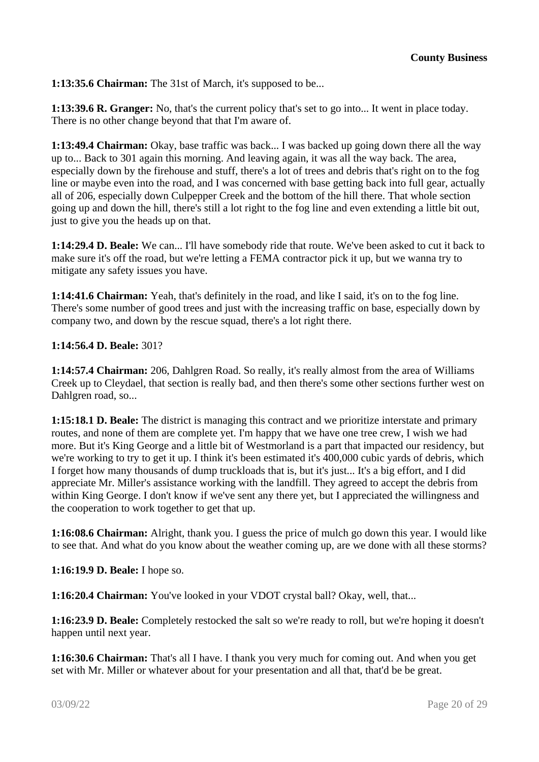**1:13:35.6 Chairman:** The 31st of March, it's supposed to be...

**1:13:39.6 R. Granger:** No, that's the current policy that's set to go into... It went in place today. There is no other change beyond that that I'm aware of.

**1:13:49.4 Chairman:** Okay, base traffic was back... I was backed up going down there all the way up to... Back to 301 again this morning. And leaving again, it was all the way back. The area, especially down by the firehouse and stuff, there's a lot of trees and debris that's right on to the fog line or maybe even into the road, and I was concerned with base getting back into full gear, actually all of 206, especially down Culpepper Creek and the bottom of the hill there. That whole section going up and down the hill, there's still a lot right to the fog line and even extending a little bit out, just to give you the heads up on that.

**1:14:29.4 D. Beale:** We can... I'll have somebody ride that route. We've been asked to cut it back to make sure it's off the road, but we're letting a FEMA contractor pick it up, but we wanna try to mitigate any safety issues you have.

**1:14:41.6 Chairman:** Yeah, that's definitely in the road, and like I said, it's on to the fog line. There's some number of good trees and just with the increasing traffic on base, especially down by company two, and down by the rescue squad, there's a lot right there.

#### **1:14:56.4 D. Beale:** 301?

**1:14:57.4 Chairman:** 206, Dahlgren Road. So really, it's really almost from the area of Williams Creek up to Cleydael, that section is really bad, and then there's some other sections further west on Dahlgren road, so...

**1:15:18.1 D. Beale:** The district is managing this contract and we prioritize interstate and primary routes, and none of them are complete yet. I'm happy that we have one tree crew, I wish we had more. But it's King George and a little bit of Westmorland is a part that impacted our residency, but we're working to try to get it up. I think it's been estimated it's 400,000 cubic yards of debris, which I forget how many thousands of dump truckloads that is, but it's just... It's a big effort, and I did appreciate Mr. Miller's assistance working with the landfill. They agreed to accept the debris from within King George. I don't know if we've sent any there yet, but I appreciated the willingness and the cooperation to work together to get that up.

**1:16:08.6 Chairman:** Alright, thank you. I guess the price of mulch go down this year. I would like to see that. And what do you know about the weather coming up, are we done with all these storms?

**1:16:19.9 D. Beale:** I hope so.

**1:16:20.4 Chairman:** You've looked in your VDOT crystal ball? Okay, well, that...

**1:16:23.9 D. Beale:** Completely restocked the salt so we're ready to roll, but we're hoping it doesn't happen until next year.

**1:16:30.6 Chairman:** That's all I have. I thank you very much for coming out. And when you get set with Mr. Miller or whatever about for your presentation and all that, that'd be be great.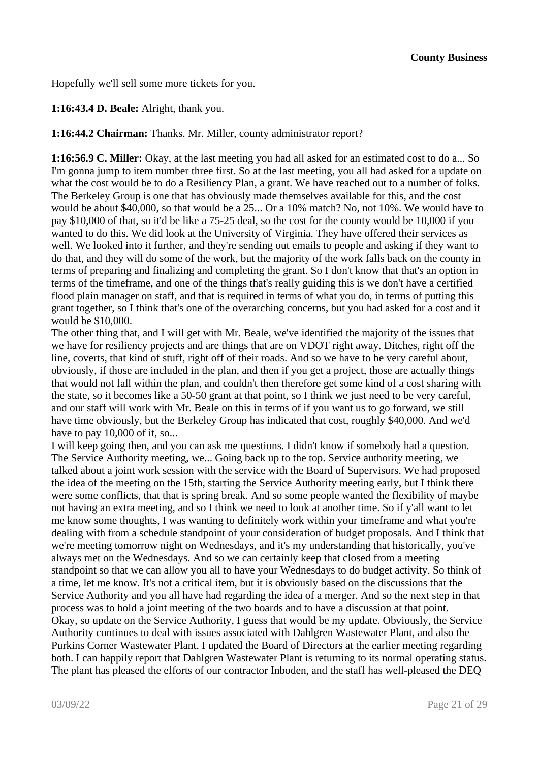Hopefully we'll sell some more tickets for you.

## **1:16:43.4 D. Beale:** Alright, thank you.

**1:16:44.2 Chairman:** Thanks. Mr. Miller, county administrator report?

**1:16:56.9 C. Miller:** Okay, at the last meeting you had all asked for an estimated cost to do a... So I'm gonna jump to item number three first. So at the last meeting, you all had asked for a update on what the cost would be to do a Resiliency Plan, a grant. We have reached out to a number of folks. The Berkeley Group is one that has obviously made themselves available for this, and the cost would be about \$40,000, so that would be a 25... Or a 10% match? No, not 10%. We would have to pay \$10,000 of that, so it'd be like a 75-25 deal, so the cost for the county would be 10,000 if you wanted to do this. We did look at the University of Virginia. They have offered their services as well. We looked into it further, and they're sending out emails to people and asking if they want to do that, and they will do some of the work, but the majority of the work falls back on the county in terms of preparing and finalizing and completing the grant. So I don't know that that's an option in terms of the timeframe, and one of the things that's really guiding this is we don't have a certified flood plain manager on staff, and that is required in terms of what you do, in terms of putting this grant together, so I think that's one of the overarching concerns, but you had asked for a cost and it would be \$10,000.

The other thing that, and I will get with Mr. Beale, we've identified the majority of the issues that we have for resiliency projects and are things that are on VDOT right away. Ditches, right off the line, coverts, that kind of stuff, right off of their roads. And so we have to be very careful about, obviously, if those are included in the plan, and then if you get a project, those are actually things that would not fall within the plan, and couldn't then therefore get some kind of a cost sharing with the state, so it becomes like a 50-50 grant at that point, so I think we just need to be very careful, and our staff will work with Mr. Beale on this in terms of if you want us to go forward, we still have time obviously, but the Berkeley Group has indicated that cost, roughly \$40,000. And we'd have to pay 10,000 of it, so...

I will keep going then, and you can ask me questions. I didn't know if somebody had a question. The Service Authority meeting, we... Going back up to the top. Service authority meeting, we talked about a joint work session with the service with the Board of Supervisors. We had proposed the idea of the meeting on the 15th, starting the Service Authority meeting early, but I think there were some conflicts, that that is spring break. And so some people wanted the flexibility of maybe not having an extra meeting, and so I think we need to look at another time. So if y'all want to let me know some thoughts, I was wanting to definitely work within your timeframe and what you're dealing with from a schedule standpoint of your consideration of budget proposals. And I think that we're meeting tomorrow night on Wednesdays, and it's my understanding that historically, you've always met on the Wednesdays. And so we can certainly keep that closed from a meeting standpoint so that we can allow you all to have your Wednesdays to do budget activity. So think of a time, let me know. It's not a critical item, but it is obviously based on the discussions that the Service Authority and you all have had regarding the idea of a merger. And so the next step in that process was to hold a joint meeting of the two boards and to have a discussion at that point. Okay, so update on the Service Authority, I guess that would be my update. Obviously, the Service Authority continues to deal with issues associated with Dahlgren Wastewater Plant, and also the Purkins Corner Wastewater Plant. I updated the Board of Directors at the earlier meeting regarding both. I can happily report that Dahlgren Wastewater Plant is returning to its normal operating status. The plant has pleased the efforts of our contractor Inboden, and the staff has well-pleased the DEQ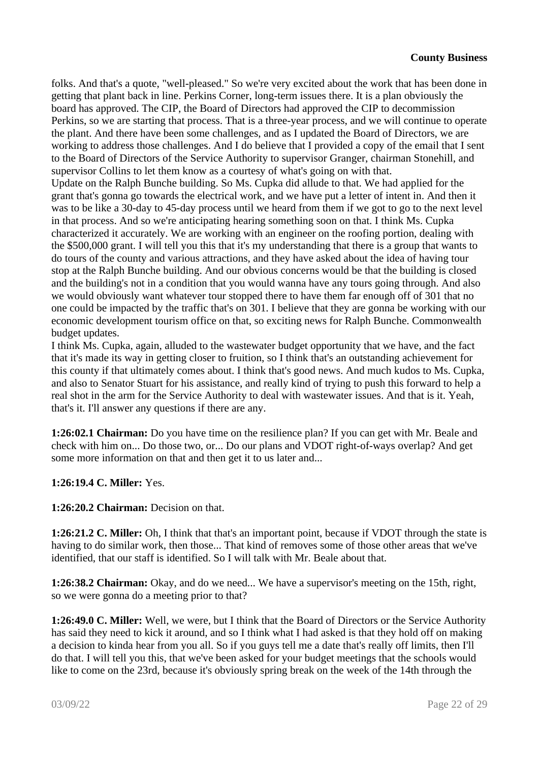folks. And that's a quote, "well-pleased." So we're very excited about the work that has been done in getting that plant back in line. Perkins Corner, long-term issues there. It is a plan obviously the board has approved. The CIP, the Board of Directors had approved the CIP to decommission Perkins, so we are starting that process. That is a three-year process, and we will continue to operate the plant. And there have been some challenges, and as I updated the Board of Directors, we are working to address those challenges. And I do believe that I provided a copy of the email that I sent to the Board of Directors of the Service Authority to supervisor Granger, chairman Stonehill, and supervisor Collins to let them know as a courtesy of what's going on with that.

Update on the Ralph Bunche building. So Ms. Cupka did allude to that. We had applied for the grant that's gonna go towards the electrical work, and we have put a letter of intent in. And then it was to be like a 30-day to 45-day process until we heard from them if we got to go to the next level in that process. And so we're anticipating hearing something soon on that. I think Ms. Cupka characterized it accurately. We are working with an engineer on the roofing portion, dealing with the \$500,000 grant. I will tell you this that it's my understanding that there is a group that wants to do tours of the county and various attractions, and they have asked about the idea of having tour stop at the Ralph Bunche building. And our obvious concerns would be that the building is closed and the building's not in a condition that you would wanna have any tours going through. And also we would obviously want whatever tour stopped there to have them far enough off of 301 that no one could be impacted by the traffic that's on 301. I believe that they are gonna be working with our economic development tourism office on that, so exciting news for Ralph Bunche. Commonwealth budget updates.

I think Ms. Cupka, again, alluded to the wastewater budget opportunity that we have, and the fact that it's made its way in getting closer to fruition, so I think that's an outstanding achievement for this county if that ultimately comes about. I think that's good news. And much kudos to Ms. Cupka, and also to Senator Stuart for his assistance, and really kind of trying to push this forward to help a real shot in the arm for the Service Authority to deal with wastewater issues. And that is it. Yeah, that's it. I'll answer any questions if there are any.

**1:26:02.1 Chairman:** Do you have time on the resilience plan? If you can get with Mr. Beale and check with him on... Do those two, or... Do our plans and VDOT right-of-ways overlap? And get some more information on that and then get it to us later and...

**1:26:19.4 C. Miller:** Yes.

**1:26:20.2 Chairman:** Decision on that.

**1:26:21.2 C. Miller:** Oh, I think that that's an important point, because if VDOT through the state is having to do similar work, then those... That kind of removes some of those other areas that we've identified, that our staff is identified. So I will talk with Mr. Beale about that.

**1:26:38.2 Chairman:** Okay, and do we need... We have a supervisor's meeting on the 15th, right, so we were gonna do a meeting prior to that?

**1:26:49.0 C. Miller:** Well, we were, but I think that the Board of Directors or the Service Authority has said they need to kick it around, and so I think what I had asked is that they hold off on making a decision to kinda hear from you all. So if you guys tell me a date that's really off limits, then I'll do that. I will tell you this, that we've been asked for your budget meetings that the schools would like to come on the 23rd, because it's obviously spring break on the week of the 14th through the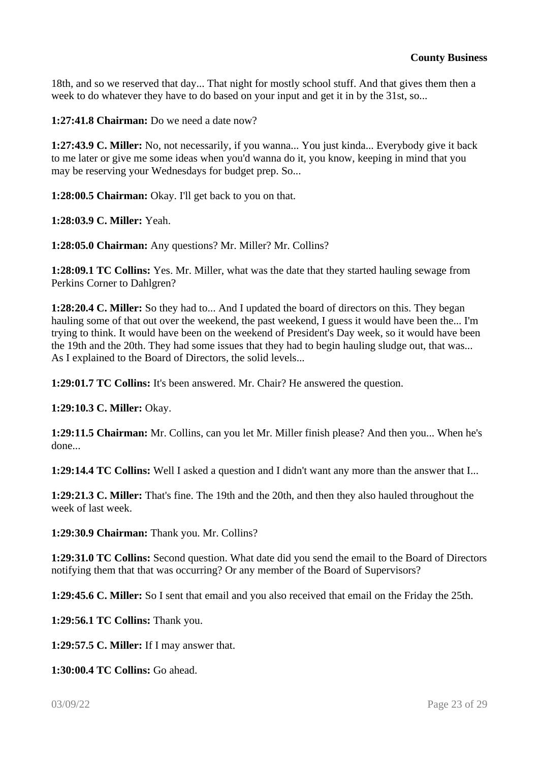18th, and so we reserved that day... That night for mostly school stuff. And that gives them then a week to do whatever they have to do based on your input and get it in by the 31st, so...

**1:27:41.8 Chairman:** Do we need a date now?

**1:27:43.9 C. Miller:** No, not necessarily, if you wanna... You just kinda... Everybody give it back to me later or give me some ideas when you'd wanna do it, you know, keeping in mind that you may be reserving your Wednesdays for budget prep. So...

**1:28:00.5 Chairman:** Okay. I'll get back to you on that.

**1:28:03.9 C. Miller:** Yeah.

**1:28:05.0 Chairman:** Any questions? Mr. Miller? Mr. Collins?

**1:28:09.1 TC Collins:** Yes. Mr. Miller, what was the date that they started hauling sewage from Perkins Corner to Dahlgren?

**1:28:20.4 C. Miller:** So they had to... And I updated the board of directors on this. They began hauling some of that out over the weekend, the past weekend, I guess it would have been the... I'm trying to think. It would have been on the weekend of President's Day week, so it would have been the 19th and the 20th. They had some issues that they had to begin hauling sludge out, that was... As I explained to the Board of Directors, the solid levels...

**1:29:01.7 TC Collins:** It's been answered. Mr. Chair? He answered the question.

**1:29:10.3 C. Miller:** Okay.

**1:29:11.5 Chairman:** Mr. Collins, can you let Mr. Miller finish please? And then you... When he's done...

**1:29:14.4 TC Collins:** Well I asked a question and I didn't want any more than the answer that I...

**1:29:21.3 C. Miller:** That's fine. The 19th and the 20th, and then they also hauled throughout the week of last week.

**1:29:30.9 Chairman:** Thank you. Mr. Collins?

**1:29:31.0 TC Collins:** Second question. What date did you send the email to the Board of Directors notifying them that that was occurring? Or any member of the Board of Supervisors?

**1:29:45.6 C. Miller:** So I sent that email and you also received that email on the Friday the 25th.

**1:29:56.1 TC Collins:** Thank you.

**1:29:57.5 C. Miller:** If I may answer that.

**1:30:00.4 TC Collins:** Go ahead.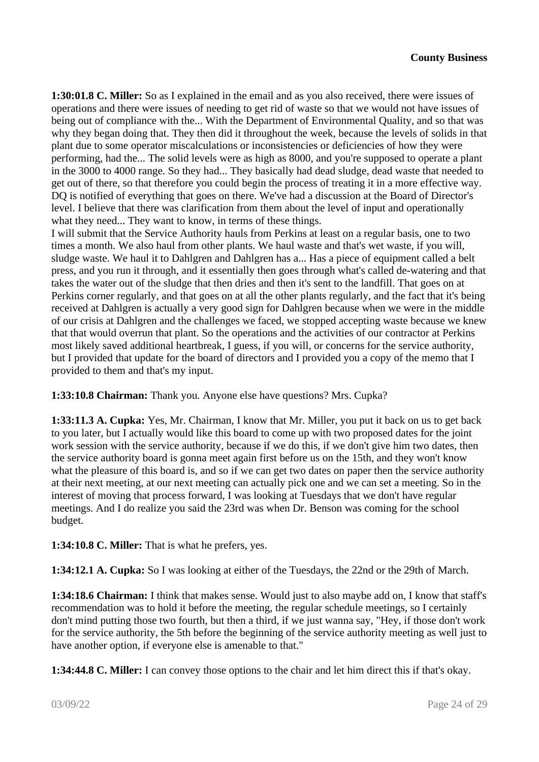**1:30:01.8 C. Miller:** So as I explained in the email and as you also received, there were issues of operations and there were issues of needing to get rid of waste so that we would not have issues of being out of compliance with the... With the Department of Environmental Quality, and so that was why they began doing that. They then did it throughout the week, because the levels of solids in that plant due to some operator miscalculations or inconsistencies or deficiencies of how they were performing, had the... The solid levels were as high as 8000, and you're supposed to operate a plant in the 3000 to 4000 range. So they had... They basically had dead sludge, dead waste that needed to get out of there, so that therefore you could begin the process of treating it in a more effective way. DQ is notified of everything that goes on there. We've had a discussion at the Board of Director's level. I believe that there was clarification from them about the level of input and operationally what they need... They want to know, in terms of these things.

I will submit that the Service Authority hauls from Perkins at least on a regular basis, one to two times a month. We also haul from other plants. We haul waste and that's wet waste, if you will, sludge waste. We haul it to Dahlgren and Dahlgren has a... Has a piece of equipment called a belt press, and you run it through, and it essentially then goes through what's called de-watering and that takes the water out of the sludge that then dries and then it's sent to the landfill. That goes on at Perkins corner regularly, and that goes on at all the other plants regularly, and the fact that it's being received at Dahlgren is actually a very good sign for Dahlgren because when we were in the middle of our crisis at Dahlgren and the challenges we faced, we stopped accepting waste because we knew that that would overrun that plant. So the operations and the activities of our contractor at Perkins most likely saved additional heartbreak, I guess, if you will, or concerns for the service authority, but I provided that update for the board of directors and I provided you a copy of the memo that I provided to them and that's my input.

**1:33:10.8 Chairman:** Thank you. Anyone else have questions? Mrs. Cupka?

**1:33:11.3 A. Cupka:** Yes, Mr. Chairman, I know that Mr. Miller, you put it back on us to get back to you later, but I actually would like this board to come up with two proposed dates for the joint work session with the service authority, because if we do this, if we don't give him two dates, then the service authority board is gonna meet again first before us on the 15th, and they won't know what the pleasure of this board is, and so if we can get two dates on paper then the service authority at their next meeting, at our next meeting can actually pick one and we can set a meeting. So in the interest of moving that process forward, I was looking at Tuesdays that we don't have regular meetings. And I do realize you said the 23rd was when Dr. Benson was coming for the school budget.

**1:34:10.8 C. Miller:** That is what he prefers, yes.

**1:34:12.1 A. Cupka:** So I was looking at either of the Tuesdays, the 22nd or the 29th of March.

**1:34:18.6 Chairman:** I think that makes sense. Would just to also maybe add on, I know that staff's recommendation was to hold it before the meeting, the regular schedule meetings, so I certainly don't mind putting those two fourth, but then a third, if we just wanna say, "Hey, if those don't work for the service authority, the 5th before the beginning of the service authority meeting as well just to have another option, if everyone else is amenable to that."

**1:34:44.8 C. Miller:** I can convey those options to the chair and let him direct this if that's okay.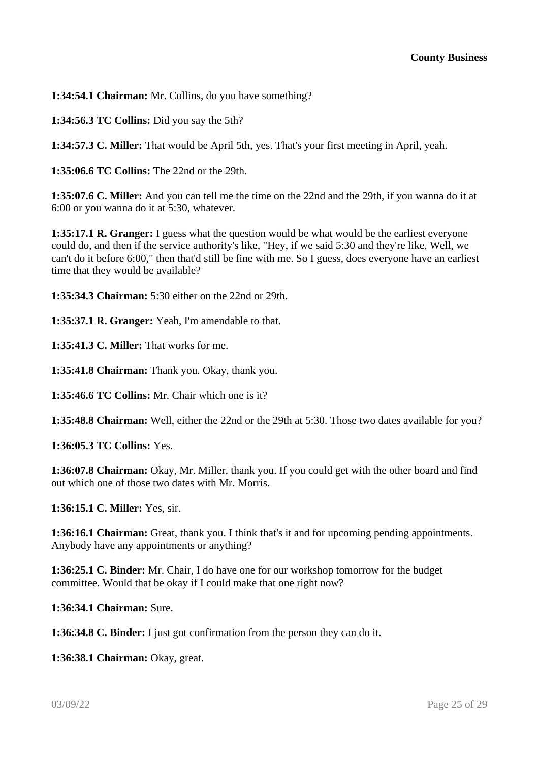**1:34:54.1 Chairman:** Mr. Collins, do you have something?

**1:34:56.3 TC Collins:** Did you say the 5th?

**1:34:57.3 C. Miller:** That would be April 5th, yes. That's your first meeting in April, yeah.

**1:35:06.6 TC Collins:** The 22nd or the 29th.

**1:35:07.6 C. Miller:** And you can tell me the time on the 22nd and the 29th, if you wanna do it at 6:00 or you wanna do it at 5:30, whatever.

**1:35:17.1 R. Granger:** I guess what the question would be what would be the earliest everyone could do, and then if the service authority's like, "Hey, if we said 5:30 and they're like, Well, we can't do it before 6:00," then that'd still be fine with me. So I guess, does everyone have an earliest time that they would be available?

**1:35:34.3 Chairman:** 5:30 either on the 22nd or 29th.

**1:35:37.1 R. Granger:** Yeah, I'm amendable to that.

**1:35:41.3 C. Miller:** That works for me.

**1:35:41.8 Chairman:** Thank you. Okay, thank you.

**1:35:46.6 TC Collins:** Mr. Chair which one is it?

**1:35:48.8 Chairman:** Well, either the 22nd or the 29th at 5:30. Those two dates available for you?

**1:36:05.3 TC Collins:** Yes.

**1:36:07.8 Chairman:** Okay, Mr. Miller, thank you. If you could get with the other board and find out which one of those two dates with Mr. Morris.

**1:36:15.1 C. Miller:** Yes, sir.

**1:36:16.1 Chairman:** Great, thank you. I think that's it and for upcoming pending appointments. Anybody have any appointments or anything?

**1:36:25.1 C. Binder:** Mr. Chair, I do have one for our workshop tomorrow for the budget committee. Would that be okay if I could make that one right now?

**1:36:34.1 Chairman:** Sure.

**1:36:34.8 C. Binder:** I just got confirmation from the person they can do it.

**1:36:38.1 Chairman:** Okay, great.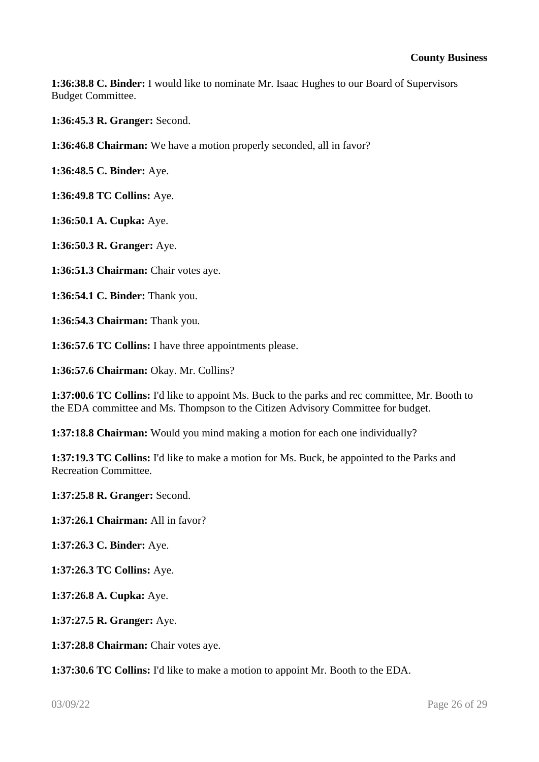**1:36:38.8 C. Binder:** I would like to nominate Mr. Isaac Hughes to our Board of Supervisors Budget Committee.

**1:36:45.3 R. Granger:** Second.

**1:36:46.8 Chairman:** We have a motion properly seconded, all in favor?

**1:36:48.5 C. Binder:** Aye.

**1:36:49.8 TC Collins:** Aye.

**1:36:50.1 A. Cupka:** Aye.

**1:36:50.3 R. Granger:** Aye.

**1:36:51.3 Chairman:** Chair votes aye.

**1:36:54.1 C. Binder:** Thank you.

**1:36:54.3 Chairman:** Thank you.

**1:36:57.6 TC Collins:** I have three appointments please.

**1:36:57.6 Chairman:** Okay. Mr. Collins?

**1:37:00.6 TC Collins:** I'd like to appoint Ms. Buck to the parks and rec committee, Mr. Booth to the EDA committee and Ms. Thompson to the Citizen Advisory Committee for budget.

**1:37:18.8 Chairman:** Would you mind making a motion for each one individually?

**1:37:19.3 TC Collins:** I'd like to make a motion for Ms. Buck, be appointed to the Parks and Recreation Committee.

**1:37:25.8 R. Granger:** Second.

**1:37:26.1 Chairman:** All in favor?

**1:37:26.3 C. Binder:** Aye.

**1:37:26.3 TC Collins:** Aye.

**1:37:26.8 A. Cupka:** Aye.

**1:37:27.5 R. Granger:** Aye.

**1:37:28.8 Chairman:** Chair votes aye.

**1:37:30.6 TC Collins:** I'd like to make a motion to appoint Mr. Booth to the EDA.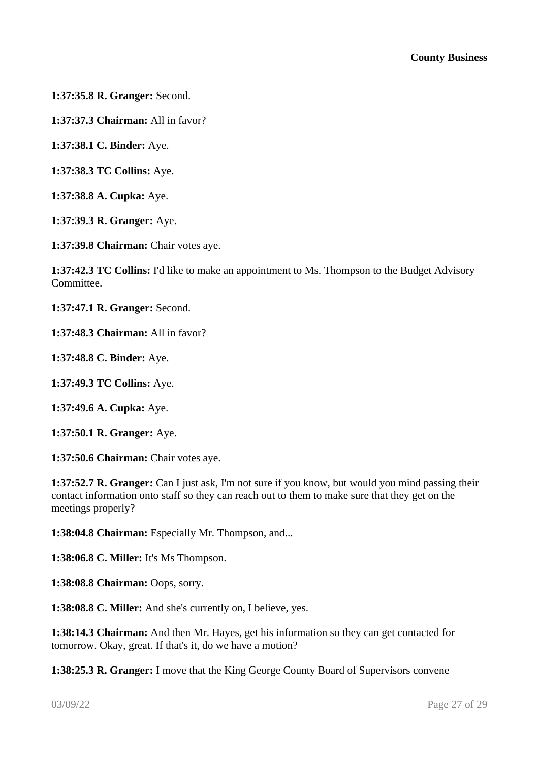**1:37:35.8 R. Granger:** Second.

**1:37:37.3 Chairman:** All in favor?

**1:37:38.1 C. Binder:** Aye.

**1:37:38.3 TC Collins:** Aye.

**1:37:38.8 A. Cupka:** Aye.

**1:37:39.3 R. Granger:** Aye.

**1:37:39.8 Chairman:** Chair votes aye.

**1:37:42.3 TC Collins:** I'd like to make an appointment to Ms. Thompson to the Budget Advisory Committee.

**1:37:47.1 R. Granger:** Second.

**1:37:48.3 Chairman:** All in favor?

**1:37:48.8 C. Binder:** Aye.

**1:37:49.3 TC Collins:** Aye.

**1:37:49.6 A. Cupka:** Aye.

**1:37:50.1 R. Granger:** Aye.

**1:37:50.6 Chairman:** Chair votes aye.

**1:37:52.7 R. Granger:** Can I just ask, I'm not sure if you know, but would you mind passing their contact information onto staff so they can reach out to them to make sure that they get on the meetings properly?

**1:38:04.8 Chairman:** Especially Mr. Thompson, and...

**1:38:06.8 C. Miller:** It's Ms Thompson.

**1:38:08.8 Chairman:** Oops, sorry.

**1:38:08.8 C. Miller:** And she's currently on, I believe, yes.

**1:38:14.3 Chairman:** And then Mr. Hayes, get his information so they can get contacted for tomorrow. Okay, great. If that's it, do we have a motion?

**1:38:25.3 R. Granger:** I move that the King George County Board of Supervisors convene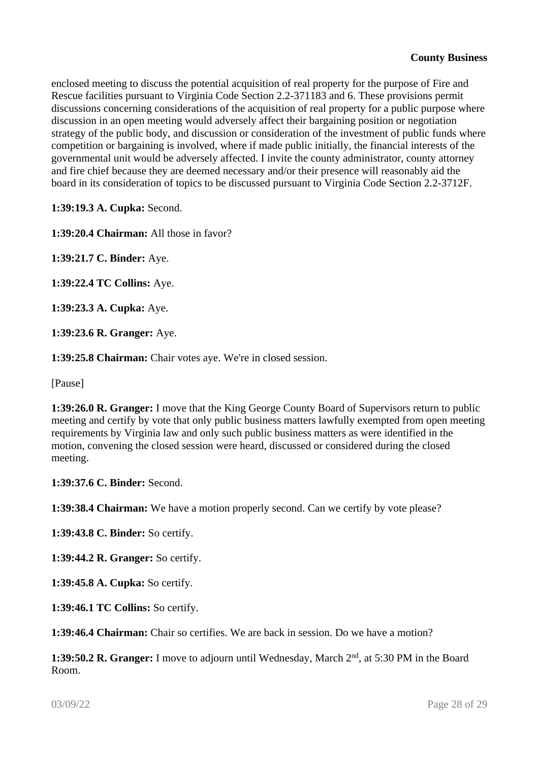enclosed meeting to discuss the potential acquisition of real property for the purpose of Fire and Rescue facilities pursuant to Virginia Code Section 2.2-371183 and 6. These provisions permit discussions concerning considerations of the acquisition of real property for a public purpose where discussion in an open meeting would adversely affect their bargaining position or negotiation strategy of the public body, and discussion or consideration of the investment of public funds where competition or bargaining is involved, where if made public initially, the financial interests of the governmental unit would be adversely affected. I invite the county administrator, county attorney and fire chief because they are deemed necessary and/or their presence will reasonably aid the board in its consideration of topics to be discussed pursuant to Virginia Code Section 2.2-3712F.

**1:39:19.3 A. Cupka:** Second.

**1:39:20.4 Chairman:** All those in favor?

**1:39:21.7 C. Binder:** Aye.

**1:39:22.4 TC Collins:** Aye.

**1:39:23.3 A. Cupka:** Aye.

**1:39:23.6 R. Granger:** Aye.

**1:39:25.8 Chairman:** Chair votes aye. We're in closed session.

[Pause]

**1:39:26.0 R. Granger:** I move that the King George County Board of Supervisors return to public meeting and certify by vote that only public business matters lawfully exempted from open meeting requirements by Virginia law and only such public business matters as were identified in the motion, convening the closed session were heard, discussed or considered during the closed meeting.

**1:39:37.6 C. Binder:** Second.

**1:39:38.4 Chairman:** We have a motion properly second. Can we certify by vote please?

**1:39:43.8 C. Binder:** So certify.

**1:39:44.2 R. Granger:** So certify.

**1:39:45.8 A. Cupka:** So certify.

**1:39:46.1 TC Collins:** So certify.

**1:39:46.4 Chairman:** Chair so certifies. We are back in session. Do we have a motion?

**1:39:50.2 R. Granger:** I move to adjourn until Wednesday, March 2nd, at 5:30 PM in the Board Room.